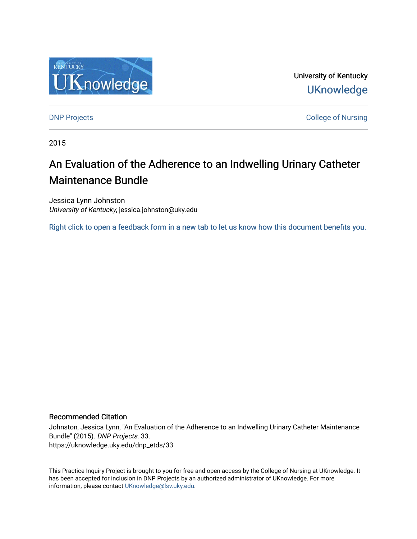

University of Kentucky **UKnowledge** 

[DNP Projects](https://uknowledge.uky.edu/dnp_etds) **College of Nursing** 

2015

# An Evaluation of the Adherence to an Indwelling Urinary Catheter Maintenance Bundle

Jessica Lynn Johnston University of Kentucky, jessica.johnston@uky.edu

[Right click to open a feedback form in a new tab to let us know how this document benefits you.](https://uky.az1.qualtrics.com/jfe/form/SV_9mq8fx2GnONRfz7)

#### Recommended Citation

Johnston, Jessica Lynn, "An Evaluation of the Adherence to an Indwelling Urinary Catheter Maintenance Bundle" (2015). DNP Projects. 33. https://uknowledge.uky.edu/dnp\_etds/33

This Practice Inquiry Project is brought to you for free and open access by the College of Nursing at UKnowledge. It has been accepted for inclusion in DNP Projects by an authorized administrator of UKnowledge. For more information, please contact [UKnowledge@lsv.uky.edu](mailto:UKnowledge@lsv.uky.edu).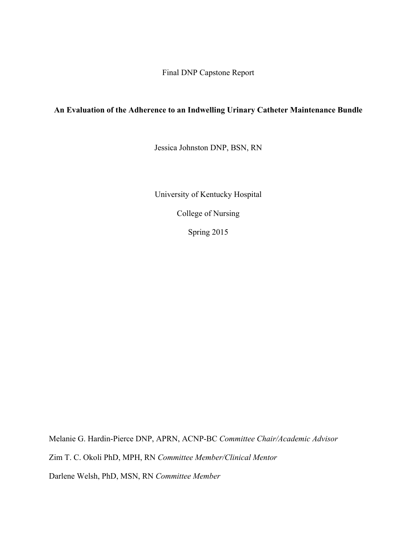Final DNP Capstone Report

### **An Evaluation of the Adherence to an Indwelling Urinary Catheter Maintenance Bundle**

Jessica Johnston DNP, BSN, RN

University of Kentucky Hospital

College of Nursing

Spring 2015

Melanie G. Hardin-Pierce DNP, APRN, ACNP-BC *Committee Chair/Academic Advisor*

Zim T. C. Okoli PhD, MPH, RN *Committee Member/Clinical Mentor*

Darlene Welsh, PhD, MSN, RN *Committee Member*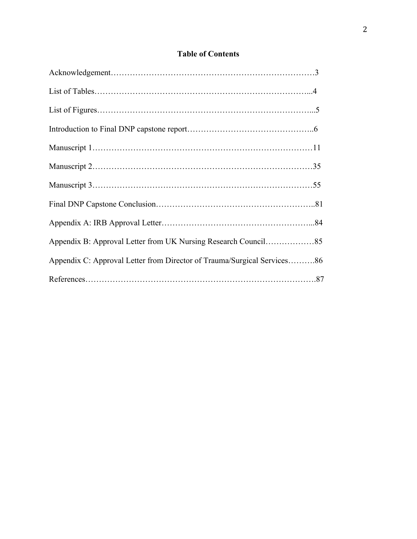## **Table of Contents**

| Appendix C: Approval Letter from Director of Trauma/Surgical Services86 |  |
|-------------------------------------------------------------------------|--|
|                                                                         |  |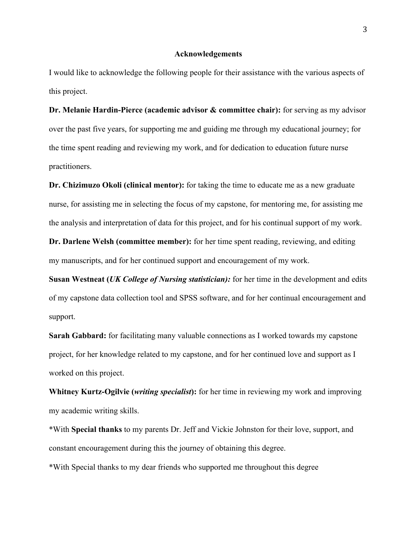#### **Acknowledgements**

I would like to acknowledge the following people for their assistance with the various aspects of this project.

**Dr. Melanie Hardin-Pierce (academic advisor & committee chair):** for serving as my advisor over the past five years, for supporting me and guiding me through my educational journey; for the time spent reading and reviewing my work, and for dedication to education future nurse practitioners.

**Dr. Chizimuzo Okoli (clinical mentor):** for taking the time to educate me as a new graduate nurse, for assisting me in selecting the focus of my capstone, for mentoring me, for assisting me the analysis and interpretation of data for this project, and for his continual support of my work.

**Dr. Darlene Welsh (committee member):** for her time spent reading, reviewing, and editing my manuscripts, and for her continued support and encouragement of my work.

**Susan Westneat (***UK College of Nursing statistician):* for her time in the development and edits of my capstone data collection tool and SPSS software, and for her continual encouragement and support.

**Sarah Gabbard:** for facilitating many valuable connections as I worked towards my capstone project, for her knowledge related to my capstone, and for her continued love and support as I worked on this project.

**Whitney Kurtz-Ogilvie (***writing specialist***):** for her time in reviewing my work and improving my academic writing skills.

\*With **Special thanks** to my parents Dr. Jeff and Vickie Johnston for their love, support, and constant encouragement during this the journey of obtaining this degree.

\*With Special thanks to my dear friends who supported me throughout this degree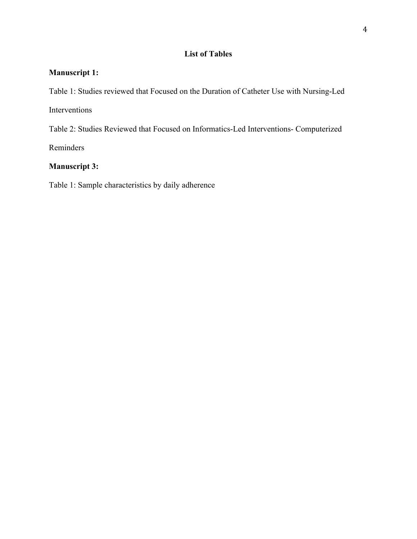### **List of Tables**

## **Manuscript 1:**

Table 1: Studies reviewed that Focused on the Duration of Catheter Use with Nursing-Led

Interventions

Table 2: Studies Reviewed that Focused on Informatics-Led Interventions- Computerized

Reminders

## **Manuscript 3:**

Table 1: Sample characteristics by daily adherence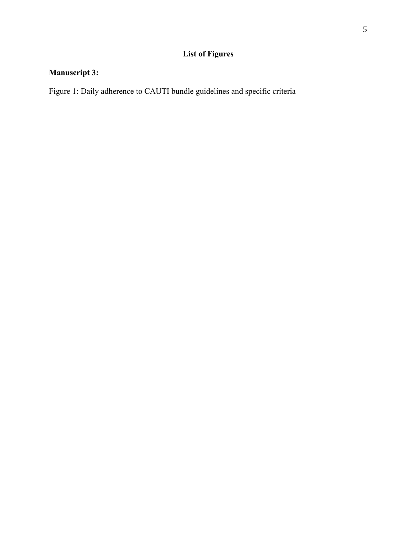## **List of Figures**

## **Manuscript 3:**

Figure 1: Daily adherence to CAUTI bundle guidelines and specific criteria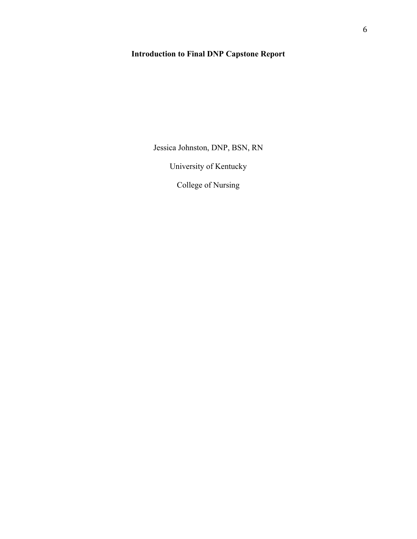## **Introduction to Final DNP Capstone Report**

Jessica Johnston, DNP, BSN, RN

University of Kentucky

College of Nursing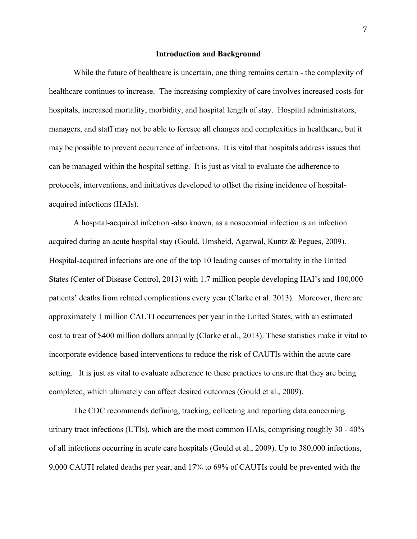#### **Introduction and Background**

While the future of healthcare is uncertain, one thing remains certain - the complexity of healthcare continues to increase. The increasing complexity of care involves increased costs for hospitals, increased mortality, morbidity, and hospital length of stay. Hospital administrators, managers, and staff may not be able to foresee all changes and complexities in healthcare, but it may be possible to prevent occurrence of infections. It is vital that hospitals address issues that can be managed within the hospital setting. It is just as vital to evaluate the adherence to protocols, interventions, and initiatives developed to offset the rising incidence of hospitalacquired infections (HAIs).

A hospital-acquired infection -also known, as a nosocomial infection is an infection acquired during an acute hospital stay (Gould, Umsheid, Agarwal, Kuntz & Pegues, 2009). Hospital-acquired infections are one of the top 10 leading causes of mortality in the United States (Center of Disease Control, 2013) with 1.7 million people developing HAI's and 100,000 patients' deaths from related complications every year (Clarke et al. 2013). Moreover, there are approximately 1 million CAUTI occurrences per year in the United States, with an estimated cost to treat of \$400 million dollars annually (Clarke et al., 2013). These statistics make it vital to incorporate evidence-based interventions to reduce the risk of CAUTIs within the acute care setting. It is just as vital to evaluate adherence to these practices to ensure that they are being completed, which ultimately can affect desired outcomes (Gould et al., 2009).

The CDC recommends defining, tracking, collecting and reporting data concerning urinary tract infections (UTIs), which are the most common HAIs, comprising roughly 30 - 40% of all infections occurring in acute care hospitals (Gould et al., 2009). Up to 380,000 infections, 9,000 CAUTI related deaths per year, and 17% to 69% of CAUTIs could be prevented with the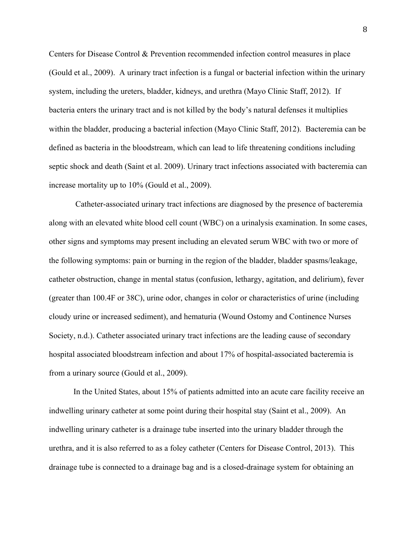Centers for Disease Control & Prevention recommended infection control measures in place (Gould et al., 2009). A urinary tract infection is a fungal or bacterial infection within the urinary system, including the ureters, bladder, kidneys, and urethra (Mayo Clinic Staff, 2012). If bacteria enters the urinary tract and is not killed by the body's natural defenses it multiplies within the bladder, producing a bacterial infection (Mayo Clinic Staff, 2012). Bacteremia can be defined as bacteria in the bloodstream, which can lead to life threatening conditions including septic shock and death (Saint et al. 2009). Urinary tract infections associated with bacteremia can increase mortality up to 10% (Gould et al., 2009).

Catheter-associated urinary tract infections are diagnosed by the presence of bacteremia along with an elevated white blood cell count (WBC) on a urinalysis examination. In some cases, other signs and symptoms may present including an elevated serum WBC with two or more of the following symptoms: pain or burning in the region of the bladder, bladder spasms/leakage, catheter obstruction, change in mental status (confusion, lethargy, agitation, and delirium), fever (greater than 100.4F or 38C), urine odor, changes in color or characteristics of urine (including cloudy urine or increased sediment), and hematuria (Wound Ostomy and Continence Nurses Society, n.d.). Catheter associated urinary tract infections are the leading cause of secondary hospital associated bloodstream infection and about 17% of hospital-associated bacteremia is from a urinary source (Gould et al., 2009).

In the United States, about 15% of patients admitted into an acute care facility receive an indwelling urinary catheter at some point during their hospital stay (Saint et al., 2009). An indwelling urinary catheter is a drainage tube inserted into the urinary bladder through the urethra, and it is also referred to as a foley catheter (Centers for Disease Control, 2013). This drainage tube is connected to a drainage bag and is a closed-drainage system for obtaining an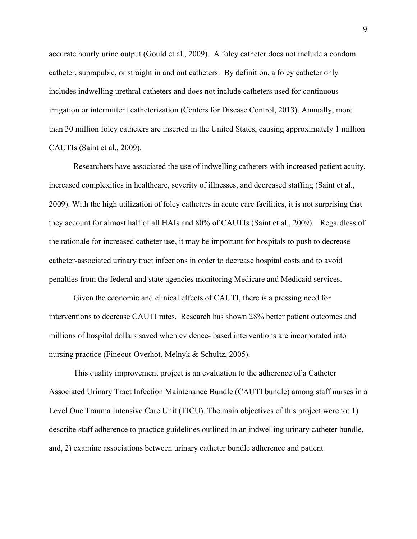accurate hourly urine output (Gould et al., 2009). A foley catheter does not include a condom catheter, suprapubic, or straight in and out catheters. By definition, a foley catheter only includes indwelling urethral catheters and does not include catheters used for continuous irrigation or intermittent catheterization (Centers for Disease Control, 2013). Annually, more than 30 million foley catheters are inserted in the United States, causing approximately 1 million CAUTIs (Saint et al., 2009).

Researchers have associated the use of indwelling catheters with increased patient acuity, increased complexities in healthcare, severity of illnesses, and decreased staffing (Saint et al., 2009). With the high utilization of foley catheters in acute care facilities, it is not surprising that they account for almost half of all HAIs and 80% of CAUTIs (Saint et al., 2009). Regardless of the rationale for increased catheter use, it may be important for hospitals to push to decrease catheter-associated urinary tract infections in order to decrease hospital costs and to avoid penalties from the federal and state agencies monitoring Medicare and Medicaid services.

Given the economic and clinical effects of CAUTI, there is a pressing need for interventions to decrease CAUTI rates. Research has shown 28% better patient outcomes and millions of hospital dollars saved when evidence- based interventions are incorporated into nursing practice (Fineout-Overhot, Melnyk & Schultz, 2005).

This quality improvement project is an evaluation to the adherence of a Catheter Associated Urinary Tract Infection Maintenance Bundle (CAUTI bundle) among staff nurses in a Level One Trauma Intensive Care Unit (TICU). The main objectives of this project were to: 1) describe staff adherence to practice guidelines outlined in an indwelling urinary catheter bundle, and, 2) examine associations between urinary catheter bundle adherence and patient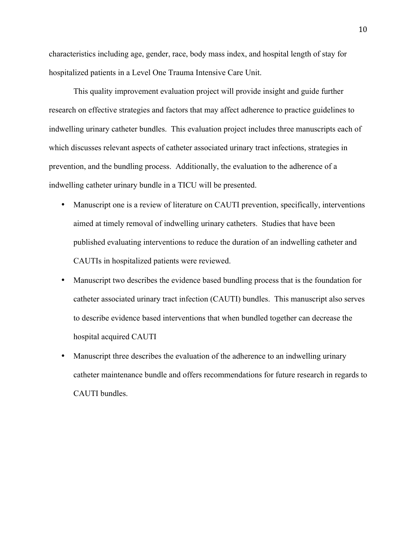characteristics including age, gender, race, body mass index, and hospital length of stay for hospitalized patients in a Level One Trauma Intensive Care Unit.

This quality improvement evaluation project will provide insight and guide further research on effective strategies and factors that may affect adherence to practice guidelines to indwelling urinary catheter bundles. This evaluation project includes three manuscripts each of which discusses relevant aspects of catheter associated urinary tract infections, strategies in prevention, and the bundling process. Additionally, the evaluation to the adherence of a indwelling catheter urinary bundle in a TICU will be presented.

- Manuscript one is a review of literature on CAUTI prevention, specifically, interventions aimed at timely removal of indwelling urinary catheters. Studies that have been published evaluating interventions to reduce the duration of an indwelling catheter and CAUTIs in hospitalized patients were reviewed.
- Manuscript two describes the evidence based bundling process that is the foundation for catheter associated urinary tract infection (CAUTI) bundles. This manuscript also serves to describe evidence based interventions that when bundled together can decrease the hospital acquired CAUTI
- Manuscript three describes the evaluation of the adherence to an indwelling urinary catheter maintenance bundle and offers recommendations for future research in regards to CAUTI bundles.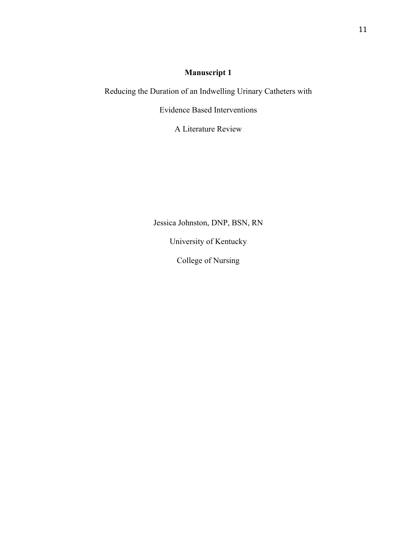## **Manuscript 1**

Reducing the Duration of an Indwelling Urinary Catheters with

Evidence Based Interventions

A Literature Review

Jessica Johnston, DNP, BSN, RN

University of Kentucky

College of Nursing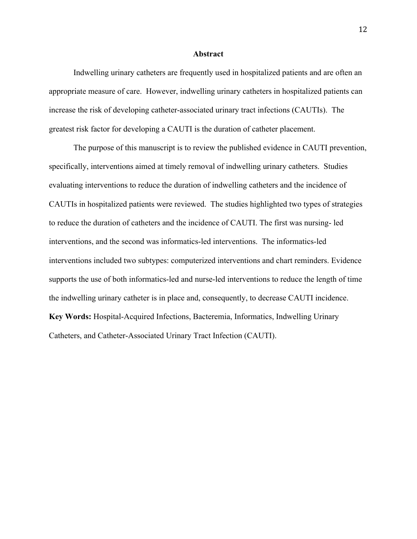#### **Abstract**

Indwelling urinary catheters are frequently used in hospitalized patients and are often an appropriate measure of care. However, indwelling urinary catheters in hospitalized patients can increase the risk of developing catheter-associated urinary tract infections (CAUTIs). The greatest risk factor for developing a CAUTI is the duration of catheter placement.

The purpose of this manuscript is to review the published evidence in CAUTI prevention, specifically, interventions aimed at timely removal of indwelling urinary catheters. Studies evaluating interventions to reduce the duration of indwelling catheters and the incidence of CAUTIs in hospitalized patients were reviewed. The studies highlighted two types of strategies to reduce the duration of catheters and the incidence of CAUTI. The first was nursing- led interventions, and the second was informatics-led interventions. The informatics-led interventions included two subtypes: computerized interventions and chart reminders. Evidence supports the use of both informatics-led and nurse-led interventions to reduce the length of time the indwelling urinary catheter is in place and, consequently, to decrease CAUTI incidence. **Key Words:** Hospital-Acquired Infections, Bacteremia, Informatics, Indwelling Urinary Catheters, and Catheter-Associated Urinary Tract Infection (CAUTI).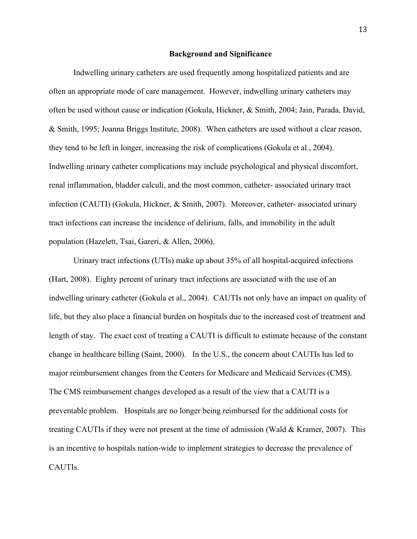#### **Background and Significance**

Indwelling urinary catheters are used frequently among hospitalized patients and are often an appropriate mode of care management. However, indwelling urinary catheters may often be used without cause or indication (Gokula, Hickner, & Smith, 2004; Jain, Parada, David, & Smith, 1995; Joanna Briggs Institute, 2008). When catheters are used without a clear reason, they tend to be left in longer, increasing the risk of complications (Gokula et al., 2004). Indwelling urinary catheter complications may include psychological and physical discomfort, renal inflammation, bladder calculi, and the most common, catheter- associated urinary tract infection (CAUTI) (Gokula, Hickner, & Smith, 2007). Moreover, catheter- associated urinary tract infections can increase the incidence of delirium, falls, and immobility in the adult population (Hazelett, Tsai, Gareri, & Allen, 2006).

Urinary tract infections (UTIs) make up about 35% of all hospital-acquired infections (Hart, 2008). Eighty percent of urinary tract infections are associated with the use of an indwelling urinary catheter (Gokula et al., 2004). CAUTIs not only have an impact on quality of life, but they also place a financial burden on hospitals due to the increased cost of treatment and length of stay. The exact cost of treating a CAUTI is difficult to estimate because of the constant change in healthcare billing (Saint, 2000). In the U.S., the concern about CAUTIs has led to major reimbursement changes from the Centers for Medicare and Medicaid Services (CMS). The CMS reimbursement changes developed as a result of the view that a CAUTI is a preventable problem. Hospitals are no longer being reimbursed for the additional costs for treating CAUTIs if they were not present at the time of admission (Wald & Kramer, 2007). This is an incentive to hospitals nation-wide to implement strategies to decrease the prevalence of CAUTIs.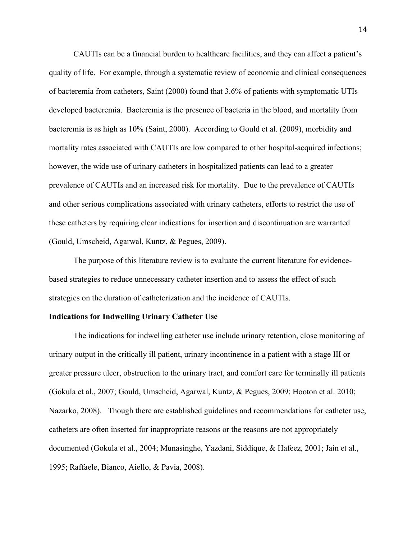CAUTIs can be a financial burden to healthcare facilities, and they can affect a patient's quality of life. For example, through a systematic review of economic and clinical consequences of bacteremia from catheters, Saint (2000) found that 3.6% of patients with symptomatic UTIs developed bacteremia. Bacteremia is the presence of bacteria in the blood, and mortality from bacteremia is as high as 10% (Saint, 2000). According to Gould et al. (2009), morbidity and mortality rates associated with CAUTIs are low compared to other hospital-acquired infections; however, the wide use of urinary catheters in hospitalized patients can lead to a greater prevalence of CAUTIs and an increased risk for mortality. Due to the prevalence of CAUTIs and other serious complications associated with urinary catheters, efforts to restrict the use of these catheters by requiring clear indications for insertion and discontinuation are warranted (Gould, Umscheid, Agarwal, Kuntz, & Pegues, 2009).

The purpose of this literature review is to evaluate the current literature for evidencebased strategies to reduce unnecessary catheter insertion and to assess the effect of such strategies on the duration of catheterization and the incidence of CAUTIs.

#### **Indications for Indwelling Urinary Catheter Use**

The indications for indwelling catheter use include urinary retention, close monitoring of urinary output in the critically ill patient, urinary incontinence in a patient with a stage III or greater pressure ulcer, obstruction to the urinary tract, and comfort care for terminally ill patients (Gokula et al., 2007; Gould, Umscheid, Agarwal, Kuntz, & Pegues, 2009; Hooton et al. 2010; Nazarko, 2008). Though there are established guidelines and recommendations for catheter use, catheters are often inserted for inappropriate reasons or the reasons are not appropriately documented (Gokula et al., 2004; Munasinghe, Yazdani, Siddique, & Hafeez, 2001; Jain et al., 1995; Raffaele, Bianco, Aiello, & Pavia, 2008).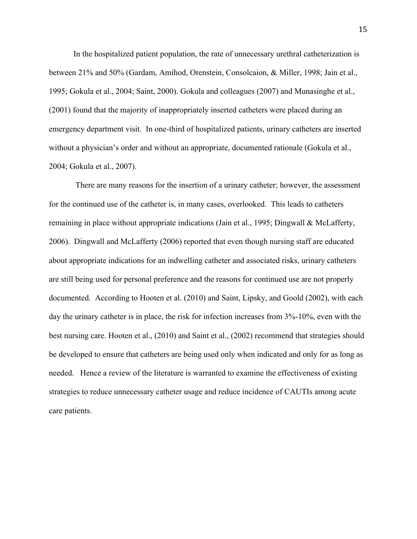In the hospitalized patient population, the rate of unnecessary urethral catheterization is between 21% and 50% (Gardam, Amihod, Orenstein, Consolcaion, & Miller, 1998; Jain et al., 1995; Gokula et al., 2004; Saint, 2000). Gokula and colleagues (2007) and Munasinghe et al., (2001) found that the majority of inappropriately inserted catheters were placed during an emergency department visit. In one-third of hospitalized patients, urinary catheters are inserted without a physician's order and without an appropriate, documented rationale (Gokula et al., 2004; Gokula et al., 2007).

There are many reasons for the insertion of a urinary catheter; however, the assessment for the continued use of the catheter is, in many cases, overlooked. This leads to catheters remaining in place without appropriate indications (Jain et al., 1995; Dingwall & McLafferty, 2006). Dingwall and McLafferty (2006) reported that even though nursing staff are educated about appropriate indications for an indwelling catheter and associated risks, urinary catheters are still being used for personal preference and the reasons for continued use are not properly documented. According to Hooten et al. (2010) and Saint, Lipsky, and Goold (2002), with each day the urinary catheter is in place, the risk for infection increases from 3%-10%, even with the best nursing care. Hooten et al., (2010) and Saint et al., (2002) recommend that strategies should be developed to ensure that catheters are being used only when indicated and only for as long as needed. Hence a review of the literature is warranted to examine the effectiveness of existing strategies to reduce unnecessary catheter usage and reduce incidence of CAUTIs among acute care patients.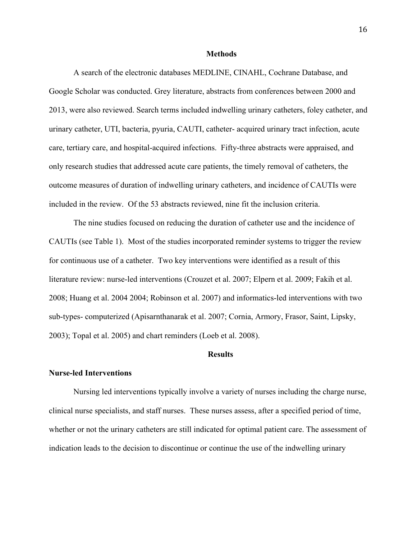#### **Methods**

A search of the electronic databases MEDLINE, CINAHL, Cochrane Database, and Google Scholar was conducted. Grey literature, abstracts from conferences between 2000 and 2013, were also reviewed. Search terms included indwelling urinary catheters, foley catheter, and urinary catheter, UTI, bacteria, pyuria, CAUTI, catheter- acquired urinary tract infection, acute care, tertiary care, and hospital-acquired infections. Fifty-three abstracts were appraised, and only research studies that addressed acute care patients, the timely removal of catheters, the outcome measures of duration of indwelling urinary catheters, and incidence of CAUTIs were included in the review. Of the 53 abstracts reviewed, nine fit the inclusion criteria.

The nine studies focused on reducing the duration of catheter use and the incidence of CAUTIs (see Table 1). Most of the studies incorporated reminder systems to trigger the review for continuous use of a catheter. Two key interventions were identified as a result of this literature review: nurse-led interventions (Crouzet et al. 2007; Elpern et al. 2009; Fakih et al. 2008; Huang et al. 2004 2004; Robinson et al. 2007) and informatics-led interventions with two sub-types- computerized (Apisarnthanarak et al. 2007; Cornia, Armory, Frasor, Saint, Lipsky, 2003); Topal et al. 2005) and chart reminders (Loeb et al. 2008).

#### **Results**

#### **Nurse-led Interventions**

Nursing led interventions typically involve a variety of nurses including the charge nurse, clinical nurse specialists, and staff nurses. These nurses assess, after a specified period of time, whether or not the urinary catheters are still indicated for optimal patient care. The assessment of indication leads to the decision to discontinue or continue the use of the indwelling urinary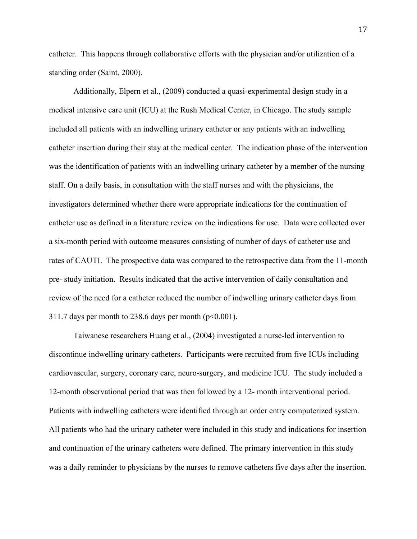catheter. This happens through collaborative efforts with the physician and/or utilization of a standing order (Saint, 2000).

Additionally, Elpern et al., (2009) conducted a quasi-experimental design study in a medical intensive care unit (ICU) at the Rush Medical Center, in Chicago. The study sample included all patients with an indwelling urinary catheter or any patients with an indwelling catheter insertion during their stay at the medical center. The indication phase of the intervention was the identification of patients with an indwelling urinary catheter by a member of the nursing staff. On a daily basis, in consultation with the staff nurses and with the physicians, the investigators determined whether there were appropriate indications for the continuation of catheter use as defined in a literature review on the indications for use. Data were collected over a six-month period with outcome measures consisting of number of days of catheter use and rates of CAUTI. The prospective data was compared to the retrospective data from the 11-month pre- study initiation. Results indicated that the active intervention of daily consultation and review of the need for a catheter reduced the number of indwelling urinary catheter days from 311.7 days per month to 238.6 days per month  $(p<0.001)$ .

Taiwanese researchers Huang et al., (2004) investigated a nurse-led intervention to discontinue indwelling urinary catheters. Participants were recruited from five ICUs including cardiovascular, surgery, coronary care, neuro-surgery, and medicine ICU. The study included a 12-month observational period that was then followed by a 12- month interventional period. Patients with indwelling catheters were identified through an order entry computerized system. All patients who had the urinary catheter were included in this study and indications for insertion and continuation of the urinary catheters were defined. The primary intervention in this study was a daily reminder to physicians by the nurses to remove catheters five days after the insertion.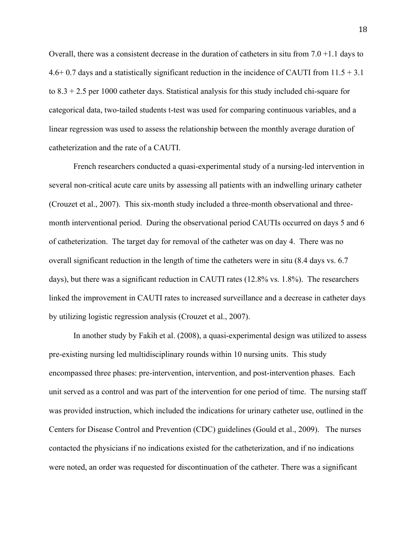Overall, there was a consistent decrease in the duration of catheters in situ from  $7.0 + 1.1$  days to 4.6+ 0.7 days and a statistically significant reduction in the incidence of CAUTI from 11.5 + 3.1 to 8.3 + 2.5 per 1000 catheter days. Statistical analysis for this study included chi-square for categorical data, two-tailed students t-test was used for comparing continuous variables, and a linear regression was used to assess the relationship between the monthly average duration of catheterization and the rate of a CAUTI.

French researchers conducted a quasi-experimental study of a nursing-led intervention in several non-critical acute care units by assessing all patients with an indwelling urinary catheter (Crouzet et al., 2007). This six-month study included a three-month observational and threemonth interventional period. During the observational period CAUTIs occurred on days 5 and 6 of catheterization. The target day for removal of the catheter was on day 4. There was no overall significant reduction in the length of time the catheters were in situ (8.4 days vs. 6.7 days), but there was a significant reduction in CAUTI rates (12.8% vs. 1.8%). The researchers linked the improvement in CAUTI rates to increased surveillance and a decrease in catheter days by utilizing logistic regression analysis (Crouzet et al., 2007).

In another study by Fakih et al. (2008), a quasi-experimental design was utilized to assess pre-existing nursing led multidisciplinary rounds within 10 nursing units. This study encompassed three phases: pre-intervention, intervention, and post-intervention phases. Each unit served as a control and was part of the intervention for one period of time. The nursing staff was provided instruction, which included the indications for urinary catheter use, outlined in the Centers for Disease Control and Prevention (CDC) guidelines (Gould et al., 2009). The nurses contacted the physicians if no indications existed for the catheterization, and if no indications were noted, an order was requested for discontinuation of the catheter. There was a significant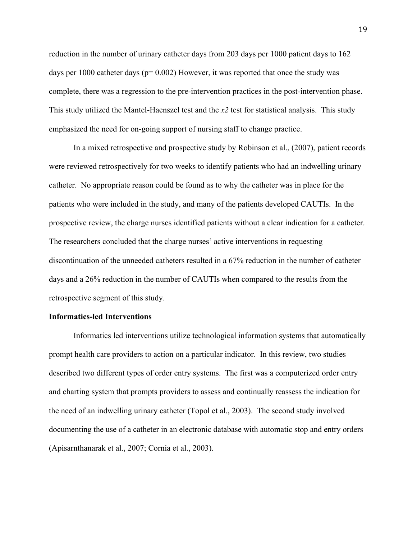reduction in the number of urinary catheter days from 203 days per 1000 patient days to 162 days per 1000 catheter days ( $p= 0.002$ ) However, it was reported that once the study was complete, there was a regression to the pre-intervention practices in the post-intervention phase. This study utilized the Mantel-Haenszel test and the *x2* test for statistical analysis. This study emphasized the need for on-going support of nursing staff to change practice.

In a mixed retrospective and prospective study by Robinson et al., (2007), patient records were reviewed retrospectively for two weeks to identify patients who had an indwelling urinary catheter. No appropriate reason could be found as to why the catheter was in place for the patients who were included in the study, and many of the patients developed CAUTIs. In the prospective review, the charge nurses identified patients without a clear indication for a catheter. The researchers concluded that the charge nurses' active interventions in requesting discontinuation of the unneeded catheters resulted in a 67% reduction in the number of catheter days and a 26% reduction in the number of CAUTIs when compared to the results from the retrospective segment of this study.

#### **Informatics-led Interventions**

Informatics led interventions utilize technological information systems that automatically prompt health care providers to action on a particular indicator. In this review, two studies described two different types of order entry systems. The first was a computerized order entry and charting system that prompts providers to assess and continually reassess the indication for the need of an indwelling urinary catheter (Topol et al., 2003). The second study involved documenting the use of a catheter in an electronic database with automatic stop and entry orders (Apisarnthanarak et al., 2007; Cornia et al., 2003).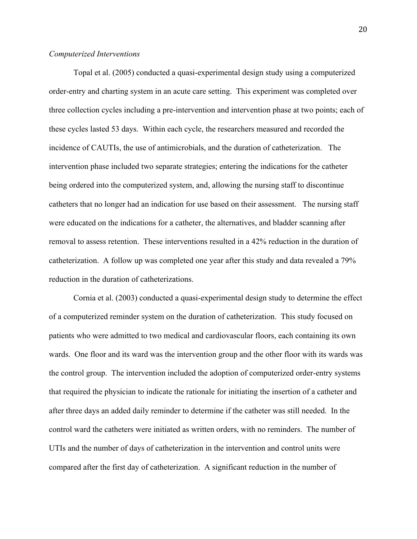#### *Computerized Interventions*

Topal et al. (2005) conducted a quasi-experimental design study using a computerized order-entry and charting system in an acute care setting. This experiment was completed over three collection cycles including a pre-intervention and intervention phase at two points; each of these cycles lasted 53 days. Within each cycle, the researchers measured and recorded the incidence of CAUTIs, the use of antimicrobials, and the duration of catheterization. The intervention phase included two separate strategies; entering the indications for the catheter being ordered into the computerized system, and, allowing the nursing staff to discontinue catheters that no longer had an indication for use based on their assessment. The nursing staff were educated on the indications for a catheter, the alternatives, and bladder scanning after removal to assess retention. These interventions resulted in a 42% reduction in the duration of catheterization. A follow up was completed one year after this study and data revealed a 79% reduction in the duration of catheterizations.

Cornia et al. (2003) conducted a quasi-experimental design study to determine the effect of a computerized reminder system on the duration of catheterization. This study focused on patients who were admitted to two medical and cardiovascular floors, each containing its own wards. One floor and its ward was the intervention group and the other floor with its wards was the control group. The intervention included the adoption of computerized order-entry systems that required the physician to indicate the rationale for initiating the insertion of a catheter and after three days an added daily reminder to determine if the catheter was still needed. In the control ward the catheters were initiated as written orders, with no reminders. The number of UTIs and the number of days of catheterization in the intervention and control units were compared after the first day of catheterization. A significant reduction in the number of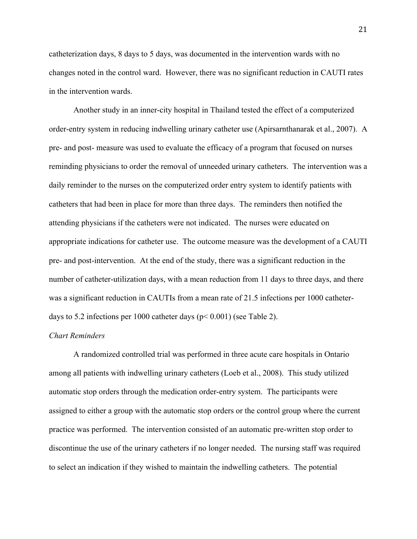catheterization days, 8 days to 5 days, was documented in the intervention wards with no changes noted in the control ward. However, there was no significant reduction in CAUTI rates in the intervention wards.

Another study in an inner-city hospital in Thailand tested the effect of a computerized order-entry system in reducing indwelling urinary catheter use (Apirsarnthanarak et al., 2007). A pre- and post- measure was used to evaluate the efficacy of a program that focused on nurses reminding physicians to order the removal of unneeded urinary catheters. The intervention was a daily reminder to the nurses on the computerized order entry system to identify patients with catheters that had been in place for more than three days. The reminders then notified the attending physicians if the catheters were not indicated. The nurses were educated on appropriate indications for catheter use. The outcome measure was the development of a CAUTI pre- and post-intervention. At the end of the study, there was a significant reduction in the number of catheter-utilization days, with a mean reduction from 11 days to three days, and there was a significant reduction in CAUTIs from a mean rate of 21.5 infections per 1000 catheterdays to 5.2 infections per 1000 catheter days (p< 0.001) (see Table 2).

#### *Chart Reminders*

A randomized controlled trial was performed in three acute care hospitals in Ontario among all patients with indwelling urinary catheters (Loeb et al., 2008). This study utilized automatic stop orders through the medication order-entry system. The participants were assigned to either a group with the automatic stop orders or the control group where the current practice was performed. The intervention consisted of an automatic pre-written stop order to discontinue the use of the urinary catheters if no longer needed. The nursing staff was required to select an indication if they wished to maintain the indwelling catheters. The potential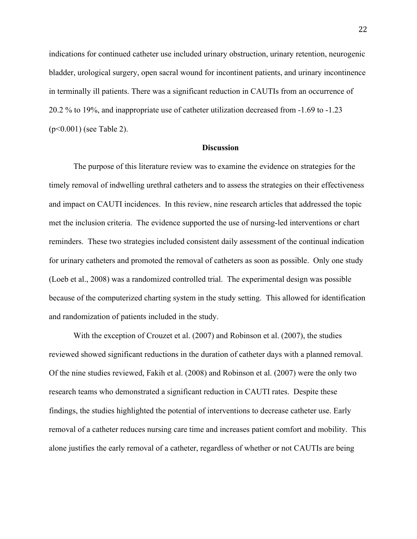indications for continued catheter use included urinary obstruction, urinary retention, neurogenic bladder, urological surgery, open sacral wound for incontinent patients, and urinary incontinence in terminally ill patients. There was a significant reduction in CAUTIs from an occurrence of 20.2 % to 19%, and inappropriate use of catheter utilization decreased from -1.69 to -1.23 (p<0.001) (see Table 2).

#### **Discussion**

The purpose of this literature review was to examine the evidence on strategies for the timely removal of indwelling urethral catheters and to assess the strategies on their effectiveness and impact on CAUTI incidences. In this review, nine research articles that addressed the topic met the inclusion criteria. The evidence supported the use of nursing-led interventions or chart reminders. These two strategies included consistent daily assessment of the continual indication for urinary catheters and promoted the removal of catheters as soon as possible. Only one study (Loeb et al., 2008) was a randomized controlled trial. The experimental design was possible because of the computerized charting system in the study setting. This allowed for identification and randomization of patients included in the study.

With the exception of Crouzet et al. (2007) and Robinson et al. (2007), the studies reviewed showed significant reductions in the duration of catheter days with a planned removal. Of the nine studies reviewed, Fakih et al. (2008) and Robinson et al. (2007) were the only two research teams who demonstrated a significant reduction in CAUTI rates. Despite these findings, the studies highlighted the potential of interventions to decrease catheter use. Early removal of a catheter reduces nursing care time and increases patient comfort and mobility. This alone justifies the early removal of a catheter, regardless of whether or not CAUTIs are being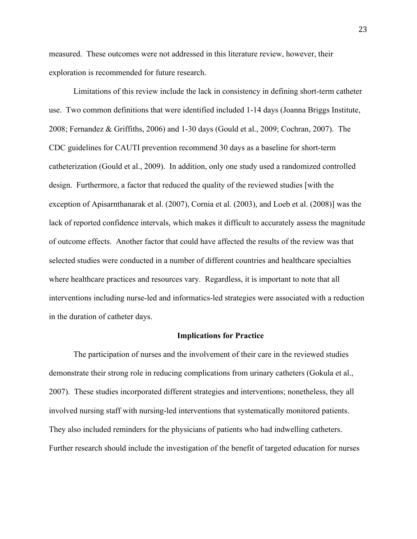measured. These outcomes were not addressed in this literature review, however, their exploration is recommended for future research.

Limitations of this review include the lack in consistency in defining short-term catheter use. Two common definitions that were identified included 1-14 days (Joanna Briggs Institute, 2008; Fernandez & Griffiths, 2006) and 1-30 days (Gould et al., 2009; Cochran, 2007). The CDC guidelines for CAUTI prevention recommend 30 days as a baseline for short-term catheterization (Gould et al., 2009). In addition, only one study used a randomized controlled design. Furthermore, a factor that reduced the quality of the reviewed studies [with the exception of Apisarnthanarak et al. (2007), Cornia et al. (2003), and Loeb et al. (2008)] was the lack of reported confidence intervals, which makes it difficult to accurately assess the magnitude of outcome effects. Another factor that could have affected the results of the review was that selected studies were conducted in a number of different countries and healthcare specialties where healthcare practices and resources vary. Regardless, it is important to note that all interventions including nurse-led and informatics-led strategies were associated with a reduction in the duration of catheter days.

#### **Implications for Practice**

The participation of nurses and the involvement of their care in the reviewed studies demonstrate their strong role in reducing complications from urinary catheters (Gokula et al., 2007). These studies incorporated different strategies and interventions; nonetheless, they all involved nursing staff with nursing-led interventions that systematically monitored patients. They also included reminders for the physicians of patients who had indwelling catheters. Further research should include the investigation of the benefit of targeted education for nurses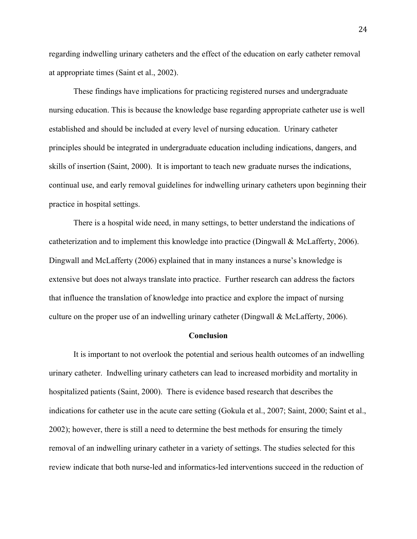regarding indwelling urinary catheters and the effect of the education on early catheter removal at appropriate times (Saint et al., 2002).

These findings have implications for practicing registered nurses and undergraduate nursing education. This is because the knowledge base regarding appropriate catheter use is well established and should be included at every level of nursing education. Urinary catheter principles should be integrated in undergraduate education including indications, dangers, and skills of insertion (Saint, 2000). It is important to teach new graduate nurses the indications, continual use, and early removal guidelines for indwelling urinary catheters upon beginning their practice in hospital settings.

There is a hospital wide need, in many settings, to better understand the indications of catheterization and to implement this knowledge into practice (Dingwall & McLafferty, 2006). Dingwall and McLafferty (2006) explained that in many instances a nurse's knowledge is extensive but does not always translate into practice. Further research can address the factors that influence the translation of knowledge into practice and explore the impact of nursing culture on the proper use of an indwelling urinary catheter (Dingwall & McLafferty, 2006).

#### **Conclusion**

It is important to not overlook the potential and serious health outcomes of an indwelling urinary catheter. Indwelling urinary catheters can lead to increased morbidity and mortality in hospitalized patients (Saint, 2000). There is evidence based research that describes the indications for catheter use in the acute care setting (Gokula et al., 2007; Saint, 2000; Saint et al., 2002); however, there is still a need to determine the best methods for ensuring the timely removal of an indwelling urinary catheter in a variety of settings. The studies selected for this review indicate that both nurse-led and informatics-led interventions succeed in the reduction of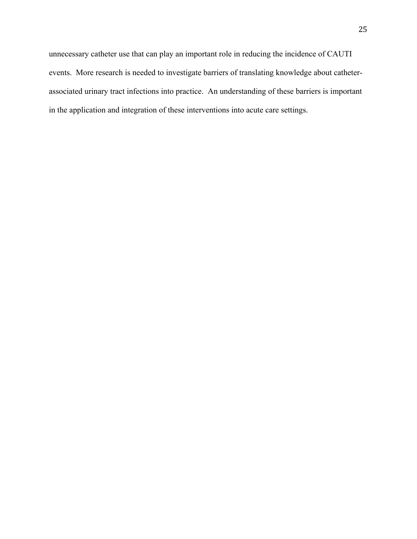unnecessary catheter use that can play an important role in reducing the incidence of CAUTI events. More research is needed to investigate barriers of translating knowledge about catheterassociated urinary tract infections into practice. An understanding of these barriers is important in the application and integration of these interventions into acute care settings.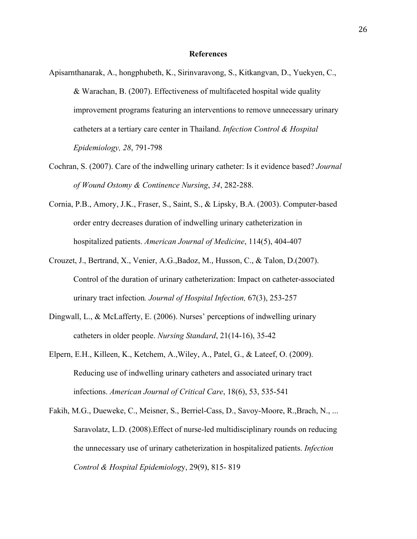#### **References**

- Apisarnthanarak, A., hongphubeth, K., Sirinvaravong, S., Kitkangvan, D., Yuekyen, C., & Warachan, B. (2007). Effectiveness of multifaceted hospital wide quality improvement programs featuring an interventions to remove unnecessary urinary catheters at a tertiary care center in Thailand. *Infection Control & Hospital Epidemiology, 28*, 791-798
- Cochran, S. (2007). Care of the indwelling urinary catheter: Is it evidence based? *Journal of Wound Ostomy & Continence Nursing*, *34*, 282-288.
- Cornia, P.B., Amory, J.K., Fraser, S., Saint, S., & Lipsky, B.A. (2003). Computer-based order entry decreases duration of indwelling urinary catheterization in hospitalized patients. *American Journal of Medicine*, 114(5), 404-407
- Crouzet, J., Bertrand, X., Venier, A.G.,Badoz, M., Husson, C., & Talon, D.(2007). Control of the duration of urinary catheterization: Impact on catheter-associated urinary tract infection*. Journal of Hospital Infection,* 67(3), 253-257
- Dingwall, L., & McLafferty, E. (2006). Nurses' perceptions of indwelling urinary catheters in older people. *Nursing Standard*, 21(14-16), 35-42
- Elpern, E.H., Killeen, K., Ketchem, A.,Wiley, A., Patel, G., & Lateef, O. (2009). Reducing use of indwelling urinary catheters and associated urinary tract infections. *American Journal of Critical Care*, 18(6), 53, 535-541
- Fakih, M.G., Dueweke, C., Meisner, S., Berriel-Cass, D., Savoy-Moore, R.,Brach, N., ... Saravolatz, L.D. (2008).Effect of nurse-led multidisciplinary rounds on reducing the unnecessary use of urinary catheterization in hospitalized patients. *Infection Control & Hospital Epidemiolog*y, 29(9), 815- 819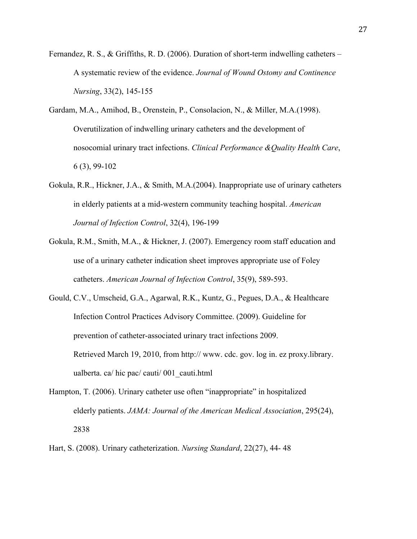- Fernandez, R. S., & Griffiths, R. D. (2006). Duration of short-term indwelling catheters A systematic review of the evidence. *Journal of Wound Ostomy and Continence Nursing*, 33(2), 145-155
- Gardam, M.A., Amihod, B., Orenstein, P., Consolacion, N., & Miller, M.A.(1998). Overutilization of indwelling urinary catheters and the development of nosocomial urinary tract infections. *Clinical Performance &Quality Health Care*, 6 (3), 99-102
- Gokula, R.R., Hickner, J.A., & Smith, M.A.(2004). Inappropriate use of urinary catheters in elderly patients at a mid-western community teaching hospital. *American Journal of Infection Control*, 32(4), 196-199
- Gokula, R.M., Smith, M.A., & Hickner, J. (2007). Emergency room staff education and use of a urinary catheter indication sheet improves appropriate use of Foley catheters. *American Journal of Infection Control*, 35(9), 589-593.
- Gould, C.V., Umscheid, G.A., Agarwal, R.K., Kuntz, G., Pegues, D.A., & Healthcare Infection Control Practices Advisory Committee. (2009). Guideline for prevention of catheter-associated urinary tract infections 2009. Retrieved March 19, 2010, from http:// www. cdc. gov. log in. ez proxy.library. ualberta. ca/ hic pac/ cauti/ 001\_cauti.html
- Hampton, T. (2006). Urinary catheter use often "inappropriate" in hospitalized elderly patients. *JAMA: Journal of the American Medical Association*, 295(24), 2838
- Hart, S. (2008). Urinary catheterization. *Nursing Standard*, 22(27), 44- 48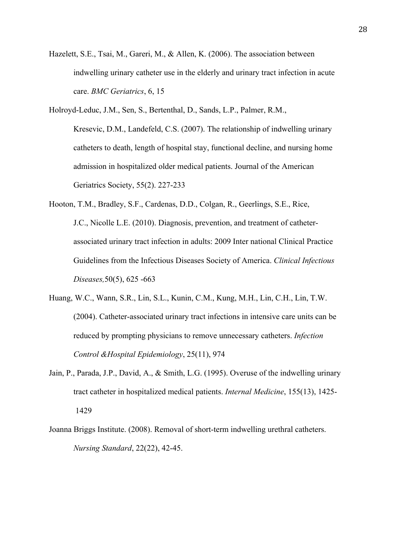- Hazelett, S.E., Tsai, M., Gareri, M., & Allen, K. (2006). The association between indwelling urinary catheter use in the elderly and urinary tract infection in acute care. *BMC Geriatrics*, 6, 15
- Holroyd-Leduc, J.M., Sen, S., Bertenthal, D., Sands, L.P., Palmer, R.M., Kresevic, D.M., Landefeld, C.S. (2007). The relationship of indwelling urinary catheters to death, length of hospital stay, functional decline, and nursing home admission in hospitalized older medical patients. Journal of the American Geriatrics Society, 55(2). 227-233
- Hooton, T.M., Bradley, S.F., Cardenas, D.D., Colgan, R., Geerlings, S.E., Rice, J.C., Nicolle L.E. (2010). Diagnosis, prevention, and treatment of catheterassociated urinary tract infection in adults: 2009 Inter national Clinical Practice Guidelines from the Infectious Diseases Society of America. *Clinical Infectious Diseases,*50(5), 625 -663
- Huang, W.C., Wann, S.R., Lin, S.L., Kunin, C.M., Kung, M.H., Lin, C.H., Lin, T.W. (2004). Catheter-associated urinary tract infections in intensive care units can be reduced by prompting physicians to remove unnecessary catheters. *Infection Control &Hospital Epidemiology*, 25(11), 974
- Jain, P., Parada, J.P., David, A., & Smith, L.G. (1995). Overuse of the indwelling urinary tract catheter in hospitalized medical patients. *Internal Medicine*, 155(13), 1425- 1429
- Joanna Briggs Institute. (2008). Removal of short-term indwelling urethral catheters. *Nursing Standard*, 22(22), 42-45.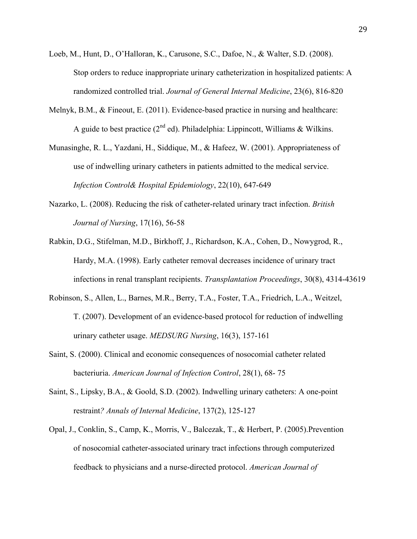- Loeb, M., Hunt, D., O'Halloran, K., Carusone, S.C., Dafoe, N., & Walter, S.D. (2008). Stop orders to reduce inappropriate urinary catheterization in hospitalized patients: A randomized controlled trial. *Journal of General Internal Medicine*, 23(6), 816-820
- Melnyk, B.M., & Fineout, E. (2011). Evidence-based practice in nursing and healthcare: A guide to best practice  $(2^{nd}$  ed). Philadelphia: Lippincott, Williams & Wilkins.
- Munasinghe, R. L., Yazdani, H., Siddique, M., & Hafeez, W. (2001). Appropriateness of use of indwelling urinary catheters in patients admitted to the medical service. *Infection Control& Hospital Epidemiology*, 22(10), 647-649
- Nazarko, L. (2008). Reducing the risk of catheter-related urinary tract infection. *British Journal of Nursing*, 17(16), 56-58
- Rabkin, D.G., Stifelman, M.D., Birkhoff, J., Richardson, K.A., Cohen, D., Nowygrod, R., Hardy, M.A. (1998). Early catheter removal decreases incidence of urinary tract infections in renal transplant recipients. *Transplantation Proceedings*, 30(8), 4314-43619
- Robinson, S., Allen, L., Barnes, M.R., Berry, T.A., Foster, T.A., Friedrich, L.A., Weitzel, T. (2007). Development of an evidence-based protocol for reduction of indwelling urinary catheter usage. *MEDSURG Nursing*, 16(3), 157-161
- Saint, S. (2000). Clinical and economic consequences of nosocomial catheter related bacteriuria. *American Journal of Infection Control*, 28(1), 68- 75
- Saint, S., Lipsky, B.A., & Goold, S.D. (2002). Indwelling urinary catheters: A one-point restraint*? Annals of Internal Medicine*, 137(2), 125-127
- Opal, J., Conklin, S., Camp, K., Morris, V., Balcezak, T., & Herbert, P. (2005).Prevention of nosocomial catheter-associated urinary tract infections through computerized feedback to physicians and a nurse-directed protocol. *American Journal of*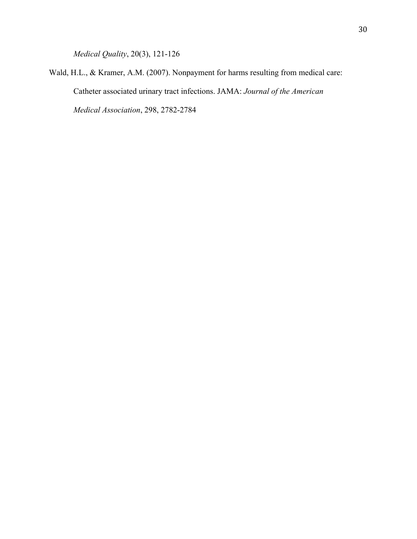*Medical Quality*, 20(3), 121-126

Wald, H.L., & Kramer, A.M. (2007). Nonpayment for harms resulting from medical care: Catheter associated urinary tract infections. JAMA: *Journal of the American Medical Association*, 298, 2782-2784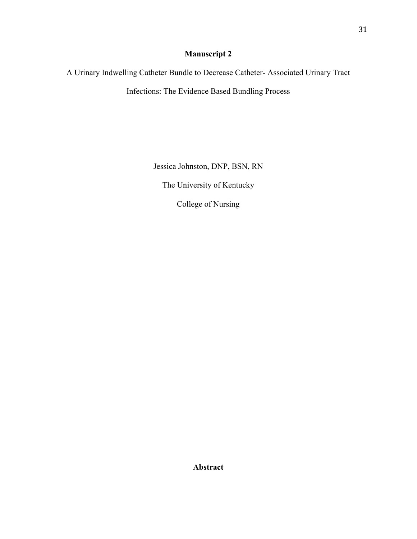## **Manuscript 2**

A Urinary Indwelling Catheter Bundle to Decrease Catheter- Associated Urinary Tract

Infections: The Evidence Based Bundling Process

Jessica Johnston, DNP, BSN, RN

The University of Kentucky

College of Nursing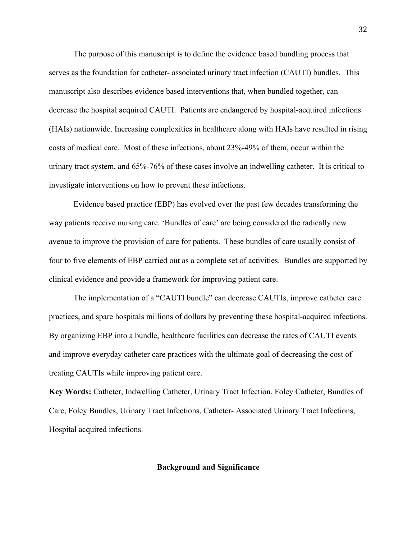The purpose of this manuscript is to define the evidence based bundling process that serves as the foundation for catheter- associated urinary tract infection (CAUTI) bundles. This manuscript also describes evidence based interventions that, when bundled together, can decrease the hospital acquired CAUTI. Patients are endangered by hospital-acquired infections (HAIs) nationwide. Increasing complexities in healthcare along with HAIs have resulted in rising costs of medical care. Most of these infections, about 23%-49% of them, occur within the urinary tract system, and 65%-76% of these cases involve an indwelling catheter. It is critical to investigate interventions on how to prevent these infections.

Evidence based practice (EBP) has evolved over the past few decades transforming the way patients receive nursing care. 'Bundles of care' are being considered the radically new avenue to improve the provision of care for patients. These bundles of care usually consist of four to five elements of EBP carried out as a complete set of activities. Bundles are supported by clinical evidence and provide a framework for improving patient care.

The implementation of a "CAUTI bundle" can decrease CAUTIs, improve catheter care practices, and spare hospitals millions of dollars by preventing these hospital-acquired infections. By organizing EBP into a bundle, healthcare facilities can decrease the rates of CAUTI events and improve everyday catheter care practices with the ultimate goal of decreasing the cost of treating CAUTIs while improving patient care.

**Key Words:** Catheter, Indwelling Catheter, Urinary Tract Infection, Foley Catheter, Bundles of Care, Foley Bundles, Urinary Tract Infections, Catheter- Associated Urinary Tract Infections, Hospital acquired infections.

#### **Background and Significance**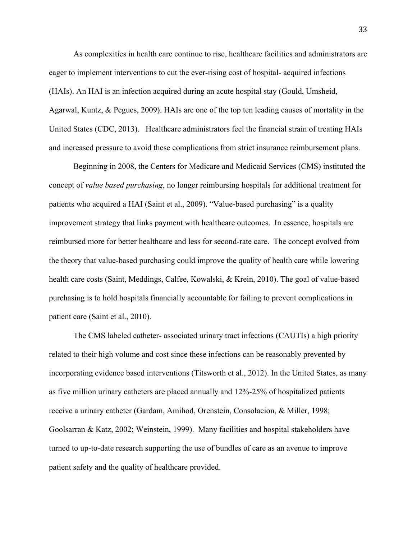As complexities in health care continue to rise, healthcare facilities and administrators are eager to implement interventions to cut the ever-rising cost of hospital- acquired infections (HAIs). An HAI is an infection acquired during an acute hospital stay (Gould, Umsheid, Agarwal, Kuntz, & Pegues, 2009). HAIs are one of the top ten leading causes of mortality in the United States (CDC, 2013). Healthcare administrators feel the financial strain of treating HAIs and increased pressure to avoid these complications from strict insurance reimbursement plans.

Beginning in 2008, the Centers for Medicare and Medicaid Services (CMS) instituted the concept of *value based purchasing*, no longer reimbursing hospitals for additional treatment for patients who acquired a HAI (Saint et al., 2009). "Value-based purchasing" is a quality improvement strategy that links payment with healthcare outcomes. In essence, hospitals are reimbursed more for better healthcare and less for second-rate care. The concept evolved from the theory that value-based purchasing could improve the quality of health care while lowering health care costs (Saint, Meddings, Calfee, Kowalski, & Krein, 2010). The goal of value-based purchasing is to hold hospitals financially accountable for failing to prevent complications in patient care (Saint et al., 2010).

The CMS labeled catheter- associated urinary tract infections (CAUTIs) a high priority related to their high volume and cost since these infections can be reasonably prevented by incorporating evidence based interventions (Titsworth et al., 2012). In the United States, as many as five million urinary catheters are placed annually and 12%-25% of hospitalized patients receive a urinary catheter (Gardam, Amihod, Orenstein, Consolacion, & Miller, 1998; Goolsarran & Katz, 2002; Weinstein, 1999). Many facilities and hospital stakeholders have turned to up-to-date research supporting the use of bundles of care as an avenue to improve patient safety and the quality of healthcare provided.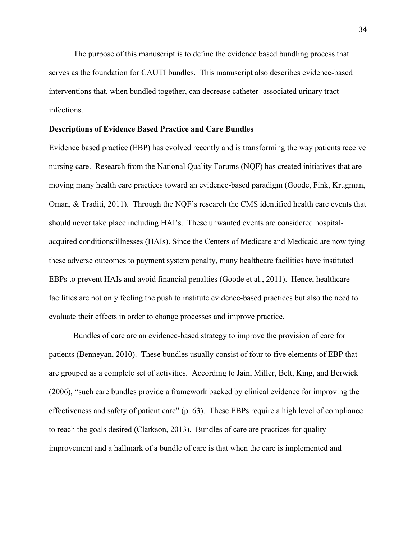The purpose of this manuscript is to define the evidence based bundling process that serves as the foundation for CAUTI bundles. This manuscript also describes evidence-based interventions that, when bundled together, can decrease catheter- associated urinary tract infections.

#### **Descriptions of Evidence Based Practice and Care Bundles**

Evidence based practice (EBP) has evolved recently and is transforming the way patients receive nursing care. Research from the National Quality Forums (NQF) has created initiatives that are moving many health care practices toward an evidence-based paradigm (Goode, Fink, Krugman, Oman, & Traditi, 2011). Through the NQF's research the CMS identified health care events that should never take place including HAI's. These unwanted events are considered hospitalacquired conditions/illnesses (HAIs). Since the Centers of Medicare and Medicaid are now tying these adverse outcomes to payment system penalty, many healthcare facilities have instituted EBPs to prevent HAIs and avoid financial penalties (Goode et al., 2011). Hence, healthcare facilities are not only feeling the push to institute evidence-based practices but also the need to evaluate their effects in order to change processes and improve practice.

Bundles of care are an evidence-based strategy to improve the provision of care for patients (Benneyan, 2010). These bundles usually consist of four to five elements of EBP that are grouped as a complete set of activities. According to Jain, Miller, Belt, King, and Berwick (2006), "such care bundles provide a framework backed by clinical evidence for improving the effectiveness and safety of patient care" (p. 63). These EBPs require a high level of compliance to reach the goals desired (Clarkson, 2013). Bundles of care are practices for quality improvement and a hallmark of a bundle of care is that when the care is implemented and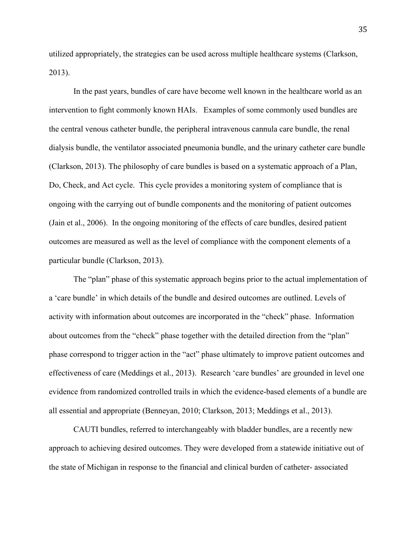utilized appropriately, the strategies can be used across multiple healthcare systems (Clarkson, 2013).

In the past years, bundles of care have become well known in the healthcare world as an intervention to fight commonly known HAIs. Examples of some commonly used bundles are the central venous catheter bundle, the peripheral intravenous cannula care bundle, the renal dialysis bundle, the ventilator associated pneumonia bundle, and the urinary catheter care bundle (Clarkson, 2013). The philosophy of care bundles is based on a systematic approach of a Plan, Do, Check, and Act cycle. This cycle provides a monitoring system of compliance that is ongoing with the carrying out of bundle components and the monitoring of patient outcomes (Jain et al., 2006). In the ongoing monitoring of the effects of care bundles, desired patient outcomes are measured as well as the level of compliance with the component elements of a particular bundle (Clarkson, 2013).

The "plan" phase of this systematic approach begins prior to the actual implementation of a 'care bundle' in which details of the bundle and desired outcomes are outlined. Levels of activity with information about outcomes are incorporated in the "check" phase. Information about outcomes from the "check" phase together with the detailed direction from the "plan" phase correspond to trigger action in the "act" phase ultimately to improve patient outcomes and effectiveness of care (Meddings et al., 2013). Research 'care bundles' are grounded in level one evidence from randomized controlled trails in which the evidence-based elements of a bundle are all essential and appropriate (Benneyan, 2010; Clarkson, 2013; Meddings et al., 2013).

CAUTI bundles, referred to interchangeably with bladder bundles, are a recently new approach to achieving desired outcomes. They were developed from a statewide initiative out of the state of Michigan in response to the financial and clinical burden of catheter- associated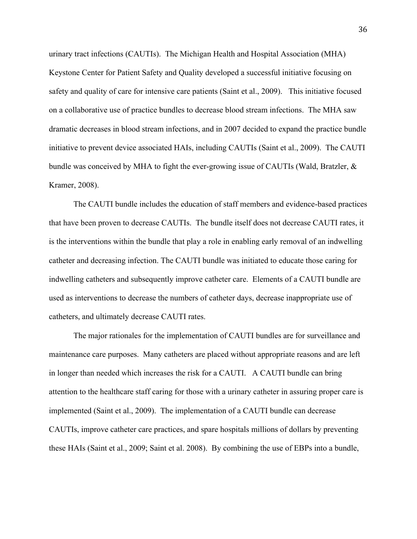urinary tract infections (CAUTIs). The Michigan Health and Hospital Association (MHA) Keystone Center for Patient Safety and Quality developed a successful initiative focusing on safety and quality of care for intensive care patients (Saint et al., 2009). This initiative focused on a collaborative use of practice bundles to decrease blood stream infections. The MHA saw dramatic decreases in blood stream infections, and in 2007 decided to expand the practice bundle initiative to prevent device associated HAIs, including CAUTIs (Saint et al., 2009). The CAUTI bundle was conceived by MHA to fight the ever-growing issue of CAUTIs (Wald, Bratzler, & Kramer, 2008).

The CAUTI bundle includes the education of staff members and evidence-based practices that have been proven to decrease CAUTIs. The bundle itself does not decrease CAUTI rates, it is the interventions within the bundle that play a role in enabling early removal of an indwelling catheter and decreasing infection. The CAUTI bundle was initiated to educate those caring for indwelling catheters and subsequently improve catheter care. Elements of a CAUTI bundle are used as interventions to decrease the numbers of catheter days, decrease inappropriate use of catheters, and ultimately decrease CAUTI rates.

The major rationales for the implementation of CAUTI bundles are for surveillance and maintenance care purposes. Many catheters are placed without appropriate reasons and are left in longer than needed which increases the risk for a CAUTI. A CAUTI bundle can bring attention to the healthcare staff caring for those with a urinary catheter in assuring proper care is implemented (Saint et al., 2009). The implementation of a CAUTI bundle can decrease CAUTIs, improve catheter care practices, and spare hospitals millions of dollars by preventing these HAIs (Saint et al., 2009; Saint et al. 2008). By combining the use of EBPs into a bundle,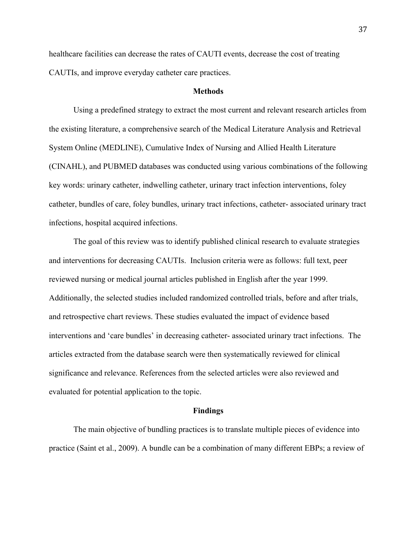healthcare facilities can decrease the rates of CAUTI events, decrease the cost of treating CAUTIs, and improve everyday catheter care practices.

# **Methods**

Using a predefined strategy to extract the most current and relevant research articles from the existing literature, a comprehensive search of the Medical Literature Analysis and Retrieval System Online (MEDLINE), Cumulative Index of Nursing and Allied Health Literature (CINAHL), and PUBMED databases was conducted using various combinations of the following key words: urinary catheter, indwelling catheter, urinary tract infection interventions, foley catheter, bundles of care, foley bundles, urinary tract infections, catheter- associated urinary tract infections, hospital acquired infections.

The goal of this review was to identify published clinical research to evaluate strategies and interventions for decreasing CAUTIs. Inclusion criteria were as follows: full text, peer reviewed nursing or medical journal articles published in English after the year 1999. Additionally, the selected studies included randomized controlled trials, before and after trials, and retrospective chart reviews. These studies evaluated the impact of evidence based interventions and 'care bundles' in decreasing catheter- associated urinary tract infections. The articles extracted from the database search were then systematically reviewed for clinical significance and relevance. References from the selected articles were also reviewed and evaluated for potential application to the topic.

# **Findings**

The main objective of bundling practices is to translate multiple pieces of evidence into practice (Saint et al., 2009). A bundle can be a combination of many different EBPs; a review of

37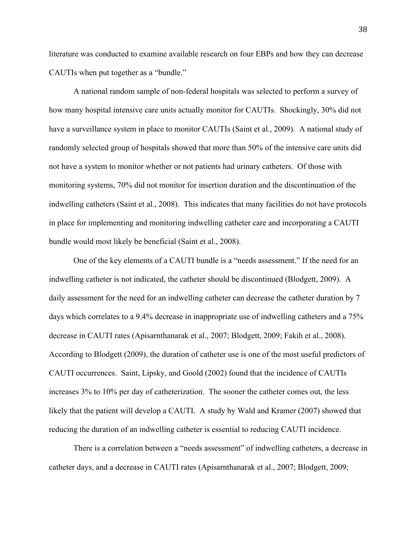literature was conducted to examine available research on four EBPs and how they can decrease CAUTIs when put together as a "bundle."

A national random sample of non-federal hospitals was selected to perform a survey of how many hospital intensive care units actually monitor for CAUTIs. Shockingly, 30% did not have a surveillance system in place to monitor CAUTIs (Saint et al., 2009). A national study of randomly selected group of hospitals showed that more than 50% of the intensive care units did not have a system to monitor whether or not patients had urinary catheters. Of those with monitoring systems, 70% did not monitor for insertion duration and the discontinuation of the indwelling catheters (Saint et al., 2008). This indicates that many facilities do not have protocols in place for implementing and monitoring indwelling catheter care and incorporating a CAUTI bundle would most likely be beneficial (Saint et al., 2008).

One of the key elements of a CAUTI bundle is a "needs assessment." If the need for an indwelling catheter is not indicated, the catheter should be discontinued (Blodgett, 2009). A daily assessment for the need for an indwelling catheter can decrease the catheter duration by 7 days which correlates to a 9.4% decrease in inappropriate use of indwelling catheters and a 75% decrease in CAUTI rates (Apisarnthanarak et al., 2007; Blodgett, 2009; Fakih et al., 2008). According to Blodgett (2009), the duration of catheter use is one of the most useful predictors of CAUTI occurrences. Saint, Lipsky, and Goold (2002) found that the incidence of CAUTIs increases 3% to 10% per day of catheterization. The sooner the catheter comes out, the less likely that the patient will develop a CAUTI. A study by Wald and Kramer (2007) showed that reducing the duration of an indwelling catheter is essential to reducing CAUTI incidence.

There is a correlation between a "needs assessment" of indwelling catheters, a decrease in catheter days, and a decrease in CAUTI rates (Apisarnthanarak et al., 2007; Blodgett, 2009;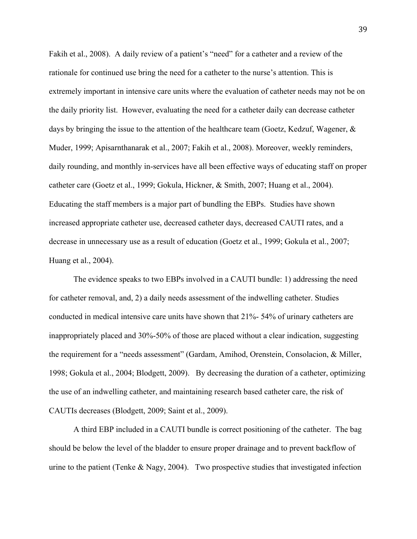Fakih et al., 2008). A daily review of a patient's "need" for a catheter and a review of the rationale for continued use bring the need for a catheter to the nurse's attention. This is extremely important in intensive care units where the evaluation of catheter needs may not be on the daily priority list. However, evaluating the need for a catheter daily can decrease catheter days by bringing the issue to the attention of the healthcare team (Goetz, Kedzuf, Wagener, & Muder, 1999; Apisarnthanarak et al., 2007; Fakih et al., 2008). Moreover, weekly reminders, daily rounding, and monthly in-services have all been effective ways of educating staff on proper catheter care (Goetz et al., 1999; Gokula, Hickner, & Smith, 2007; Huang et al., 2004). Educating the staff members is a major part of bundling the EBPs. Studies have shown increased appropriate catheter use, decreased catheter days, decreased CAUTI rates, and a decrease in unnecessary use as a result of education (Goetz et al., 1999; Gokula et al., 2007; Huang et al., 2004).

The evidence speaks to two EBPs involved in a CAUTI bundle: 1) addressing the need for catheter removal, and, 2) a daily needs assessment of the indwelling catheter. Studies conducted in medical intensive care units have shown that 21%- 54% of urinary catheters are inappropriately placed and 30%-50% of those are placed without a clear indication, suggesting the requirement for a "needs assessment" (Gardam, Amihod, Orenstein, Consolacion, & Miller, 1998; Gokula et al., 2004; Blodgett, 2009). By decreasing the duration of a catheter, optimizing the use of an indwelling catheter, and maintaining research based catheter care, the risk of CAUTIs decreases (Blodgett, 2009; Saint et al., 2009).

A third EBP included in a CAUTI bundle is correct positioning of the catheter. The bag should be below the level of the bladder to ensure proper drainage and to prevent backflow of urine to the patient (Tenke & Nagy, 2004). Two prospective studies that investigated infection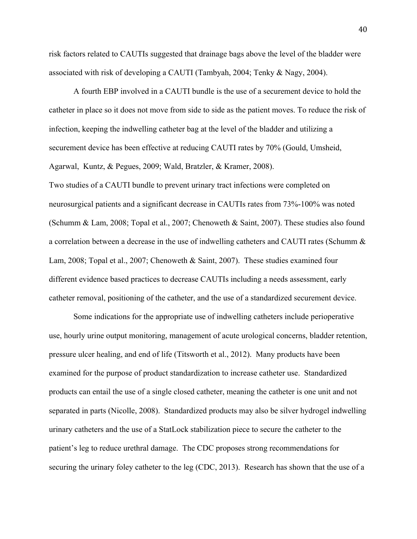risk factors related to CAUTIs suggested that drainage bags above the level of the bladder were associated with risk of developing a CAUTI (Tambyah, 2004; Tenky & Nagy, 2004).

A fourth EBP involved in a CAUTI bundle is the use of a securement device to hold the catheter in place so it does not move from side to side as the patient moves. To reduce the risk of infection, keeping the indwelling catheter bag at the level of the bladder and utilizing a securement device has been effective at reducing CAUTI rates by 70% (Gould, Umsheid, Agarwal, Kuntz, & Pegues, 2009; Wald, Bratzler, & Kramer, 2008).

Two studies of a CAUTI bundle to prevent urinary tract infections were completed on neurosurgical patients and a significant decrease in CAUTIs rates from 73%-100% was noted (Schumm & Lam, 2008; Topal et al., 2007; Chenoweth & Saint, 2007). These studies also found a correlation between a decrease in the use of indwelling catheters and CAUTI rates (Schumm & Lam, 2008; Topal et al., 2007; Chenoweth & Saint, 2007). These studies examined four different evidence based practices to decrease CAUTIs including a needs assessment, early catheter removal, positioning of the catheter, and the use of a standardized securement device.

Some indications for the appropriate use of indwelling catheters include perioperative use, hourly urine output monitoring, management of acute urological concerns, bladder retention, pressure ulcer healing, and end of life (Titsworth et al., 2012). Many products have been examined for the purpose of product standardization to increase catheter use. Standardized products can entail the use of a single closed catheter, meaning the catheter is one unit and not separated in parts (Nicolle, 2008). Standardized products may also be silver hydrogel indwelling urinary catheters and the use of a StatLock stabilization piece to secure the catheter to the patient's leg to reduce urethral damage. The CDC proposes strong recommendations for securing the urinary foley catheter to the leg (CDC, 2013). Research has shown that the use of a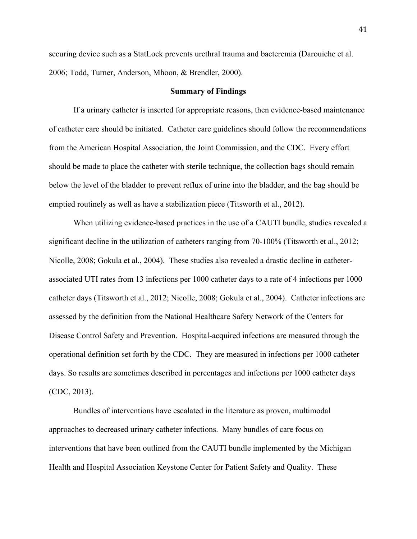securing device such as a StatLock prevents urethral trauma and bacteremia (Darouiche et al. 2006; Todd, Turner, Anderson, Mhoon, & Brendler, 2000).

### **Summary of Findings**

If a urinary catheter is inserted for appropriate reasons, then evidence-based maintenance of catheter care should be initiated. Catheter care guidelines should follow the recommendations from the American Hospital Association, the Joint Commission, and the CDC. Every effort should be made to place the catheter with sterile technique, the collection bags should remain below the level of the bladder to prevent reflux of urine into the bladder, and the bag should be emptied routinely as well as have a stabilization piece (Titsworth et al., 2012).

When utilizing evidence-based practices in the use of a CAUTI bundle, studies revealed a significant decline in the utilization of catheters ranging from 70-100% (Titsworth et al., 2012; Nicolle, 2008; Gokula et al., 2004). These studies also revealed a drastic decline in catheterassociated UTI rates from 13 infections per 1000 catheter days to a rate of 4 infections per 1000 catheter days (Titsworth et al., 2012; Nicolle, 2008; Gokula et al., 2004). Catheter infections are assessed by the definition from the National Healthcare Safety Network of the Centers for Disease Control Safety and Prevention. Hospital-acquired infections are measured through the operational definition set forth by the CDC. They are measured in infections per 1000 catheter days. So results are sometimes described in percentages and infections per 1000 catheter days (CDC, 2013).

Bundles of interventions have escalated in the literature as proven, multimodal approaches to decreased urinary catheter infections. Many bundles of care focus on interventions that have been outlined from the CAUTI bundle implemented by the Michigan Health and Hospital Association Keystone Center for Patient Safety and Quality. These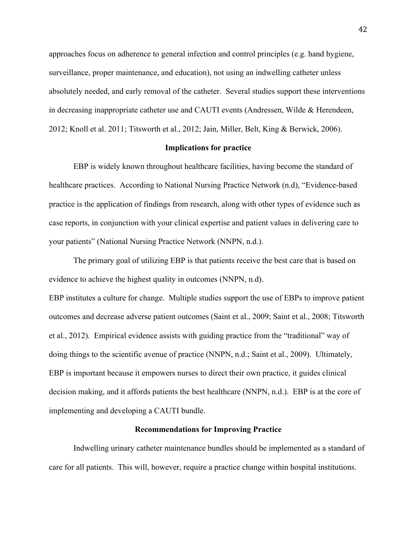approaches focus on adherence to general infection and control principles (e.g. hand hygiene, surveillance, proper maintenance, and education), not using an indwelling catheter unless absolutely needed, and early removal of the catheter. Several studies support these interventions in decreasing inappropriate catheter use and CAUTI events (Andressen, Wilde & Herendeen, 2012; Knoll et al. 2011; Titsworth et al., 2012; Jain, Miller, Belt, King & Berwick, 2006).

# **Implications for practice**

EBP is widely known throughout healthcare facilities, having become the standard of healthcare practices. According to National Nursing Practice Network (n.d), "Evidence-based practice is the application of findings from research, along with other types of evidence such as case reports, in conjunction with your clinical expertise and patient values in delivering care to your patients" (National Nursing Practice Network (NNPN, n.d.).

The primary goal of utilizing EBP is that patients receive the best care that is based on evidence to achieve the highest quality in outcomes (NNPN, n.d).

EBP institutes a culture for change. Multiple studies support the use of EBPs to improve patient outcomes and decrease adverse patient outcomes (Saint et al., 2009; Saint et al., 2008; Titsworth et al., 2012). Empirical evidence assists with guiding practice from the "traditional" way of doing things to the scientific avenue of practice (NNPN, n.d.; Saint et al., 2009). Ultimately, EBP is important because it empowers nurses to direct their own practice, it guides clinical decision making, and it affords patients the best healthcare (NNPN, n.d.). EBP is at the core of implementing and developing a CAUTI bundle.

### **Recommendations for Improving Practice**

Indwelling urinary catheter maintenance bundles should be implemented as a standard of care for all patients. This will, however, require a practice change within hospital institutions.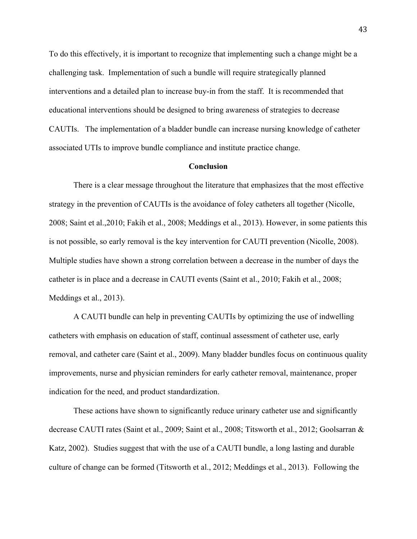To do this effectively, it is important to recognize that implementing such a change might be a challenging task. Implementation of such a bundle will require strategically planned interventions and a detailed plan to increase buy-in from the staff. It is recommended that educational interventions should be designed to bring awareness of strategies to decrease CAUTIs. The implementation of a bladder bundle can increase nursing knowledge of catheter associated UTIs to improve bundle compliance and institute practice change.

# **Conclusion**

There is a clear message throughout the literature that emphasizes that the most effective strategy in the prevention of CAUTIs is the avoidance of foley catheters all together (Nicolle, 2008; Saint et al.,2010; Fakih et al., 2008; Meddings et al., 2013). However, in some patients this is not possible, so early removal is the key intervention for CAUTI prevention (Nicolle, 2008). Multiple studies have shown a strong correlation between a decrease in the number of days the catheter is in place and a decrease in CAUTI events (Saint et al., 2010; Fakih et al., 2008; Meddings et al., 2013).

A CAUTI bundle can help in preventing CAUTIs by optimizing the use of indwelling catheters with emphasis on education of staff, continual assessment of catheter use, early removal, and catheter care (Saint et al., 2009). Many bladder bundles focus on continuous quality improvements, nurse and physician reminders for early catheter removal, maintenance, proper indication for the need, and product standardization.

These actions have shown to significantly reduce urinary catheter use and significantly decrease CAUTI rates (Saint et al., 2009; Saint et al., 2008; Titsworth et al., 2012; Goolsarran & Katz, 2002). Studies suggest that with the use of a CAUTI bundle, a long lasting and durable culture of change can be formed (Titsworth et al., 2012; Meddings et al., 2013). Following the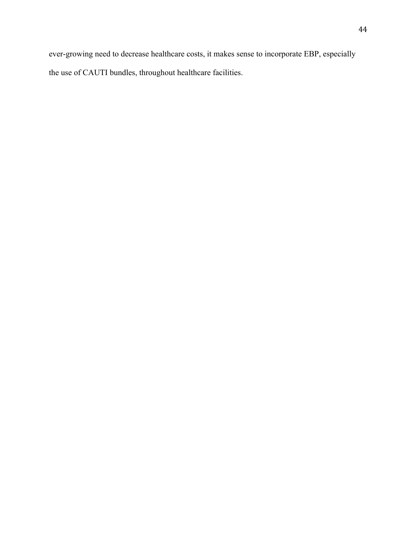ever-growing need to decrease healthcare costs, it makes sense to incorporate EBP, especially the use of CAUTI bundles, throughout healthcare facilities.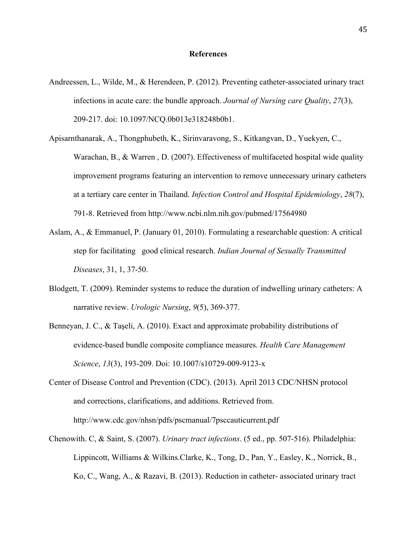### **References**

- Andreessen, L., Wilde, M., & Herendeen, P. (2012). Preventing catheter-associated urinary tract infections in acute care: the bundle approach. *Journal of Nursing care Quality*, *27*(3), 209-217. doi: 10.1097/NCQ.0b013e318248b0b1.
- Apisarnthanarak, A., Thongphubeth, K., Sirinvaravong, S., Kitkangvan, D., Yuekyen, C., Warachan, B., & Warren , D. (2007). Effectiveness of multifaceted hospital wide quality improvement programs featuring an intervention to remove unnecessary urinary catheters at a tertiary care center in Thailand. *Infection Control and Hospital Epidemiology*, *28*(7), 791-8. Retrieved from http://www.ncbi.nlm.nih.gov/pubmed/17564980
- Aslam, A., & Emmanuel, P. (January 01, 2010). Formulating a researchable question: A critical step for facilitating good clinical research. *Indian Journal of Sexually Transmitted Diseases*, 31, 1, 37-50.
- Blodgett, T. (2009). Reminder systems to reduce the duration of indwelling urinary catheters: A narrative review. *Urologic Nursing*, *9*(5), 369-377.
- Benneyan, J. C., & Taşeli, A. (2010). Exact and approximate probability distributions of evidence-based bundle composite compliance measures. *Health Care Management Science*, *13*(3), 193-209. Doi: 10.1007/s10729-009-9123-x
- Center of Disease Control and Prevention (CDC). (2013). April 2013 CDC/NHSN protocol and corrections, clarifications, and additions. Retrieved from. http://www.cdc.gov/nhsn/pdfs/pscmanual/7psccauticurrent.pdf
- Chenowith. C, & Saint, S. (2007). *Urinary tract infections*. (5 ed., pp. 507-516). Philadelphia: Lippincott, Williams & Wilkins.Clarke, K., Tong, D., Pan, Y., Easley, K., Norrick, B., Ko, C., Wang, A., & Razavi, B. (2013). Reduction in catheter- associated urinary tract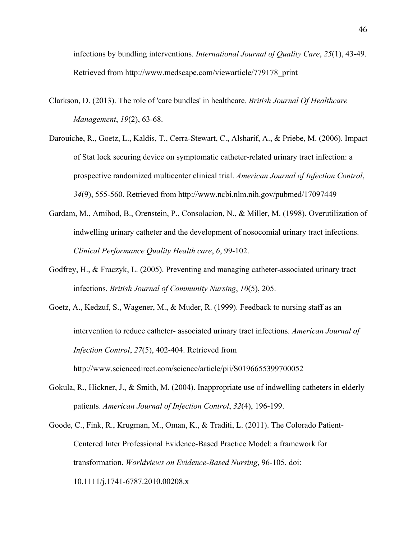infections by bundling interventions. *International Journal of Quality Care*, *25*(1), 43-49. Retrieved from http://www.medscape.com/viewarticle/779178\_print

- Clarkson, D. (2013). The role of 'care bundles' in healthcare. *British Journal Of Healthcare Management*, *19*(2), 63-68.
- Darouiche, R., Goetz, L., Kaldis, T., Cerra-Stewart, C., Alsharif, A., & Priebe, M. (2006). Impact of Stat lock securing device on symptomatic catheter-related urinary tract infection: a prospective randomized multicenter clinical trial. *American Journal of Infection Control*, *34*(9), 555-560. Retrieved from http://www.ncbi.nlm.nih.gov/pubmed/17097449
- Gardam, M., Amihod, B., Orenstein, P., Consolacion, N., & Miller, M. (1998). Overutilization of indwelling urinary catheter and the development of nosocomial urinary tract infections. *Clinical Performance Quality Health care*, *6*, 99-102.
- Godfrey, H., & Fraczyk, L. (2005). Preventing and managing catheter-associated urinary tract infections. *British Journal of Community Nursing*, *10*(5), 205.
- Goetz, A., Kedzuf, S., Wagener, M., & Muder, R. (1999). Feedback to nursing staff as an intervention to reduce catheter- associated urinary tract infections. *American Journal of Infection Control*, *27*(5), 402-404. Retrieved from http://www.sciencedirect.com/science/article/pii/S0196655399700052
- Gokula, R., Hickner, J., & Smith, M. (2004). Inappropriate use of indwelling catheters in elderly patients. *American Journal of Infection Control*, *32*(4), 196-199.
- Goode, C., Fink, R., Krugman, M., Oman, K., & Traditi, L. (2011). The Colorado Patient-Centered Inter Professional Evidence-Based Practice Model: a framework for transformation. *Worldviews on Evidence-Based Nursing*, 96-105. doi: 10.1111/j.1741-6787.2010.00208.x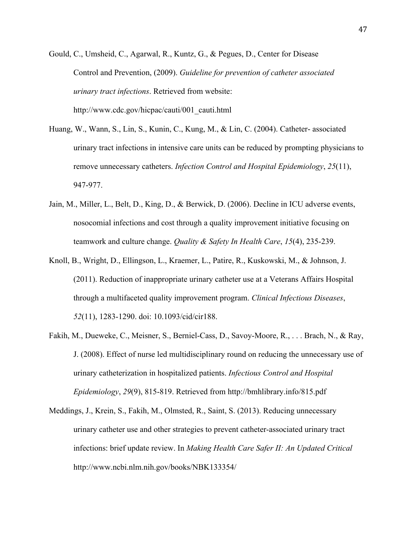Gould, C., Umsheid, C., Agarwal, R., Kuntz, G., & Pegues, D., Center for Disease Control and Prevention, (2009). *Guideline for prevention of catheter associated urinary tract infections*. Retrieved from website: http://www.cdc.gov/hicpac/cauti/001\_cauti.html

- Huang, W., Wann, S., Lin, S., Kunin, C., Kung, M., & Lin, C. (2004). Catheter- associated urinary tract infections in intensive care units can be reduced by prompting physicians to remove unnecessary catheters. *Infection Control and Hospital Epidemiology*, *25*(11), 947-977.
- Jain, M., Miller, L., Belt, D., King, D., & Berwick, D. (2006). Decline in ICU adverse events, nosocomial infections and cost through a quality improvement initiative focusing on teamwork and culture change. *Quality & Safety In Health Care*, *15*(4), 235-239.
- Knoll, B., Wright, D., Ellingson, L., Kraemer, L., Patire, R., Kuskowski, M., & Johnson, J. (2011). Reduction of inappropriate urinary catheter use at a Veterans Affairs Hospital through a multifaceted quality improvement program. *Clinical Infectious Diseases*, *52*(11), 1283-1290. doi: 10.1093/cid/cir188.
- Fakih, M., Dueweke, C., Meisner, S., Berniel-Cass, D., Savoy-Moore, R., . . . Brach, N., & Ray, J. (2008). Effect of nurse led multidisciplinary round on reducing the unnecessary use of urinary catheterization in hospitalized patients. *Infectious Control and Hospital Epidemiology*, *29*(9), 815-819. Retrieved from http://bmhlibrary.info/815.pdf
- Meddings, J., Krein, S., Fakih, M., Olmsted, R., Saint, S. (2013). Reducing unnecessary urinary catheter use and other strategies to prevent catheter-associated urinary tract infections: brief update review. In *Making Health Care Safer II: An Updated Critical*  http://www.ncbi.nlm.nih.gov/books/NBK133354/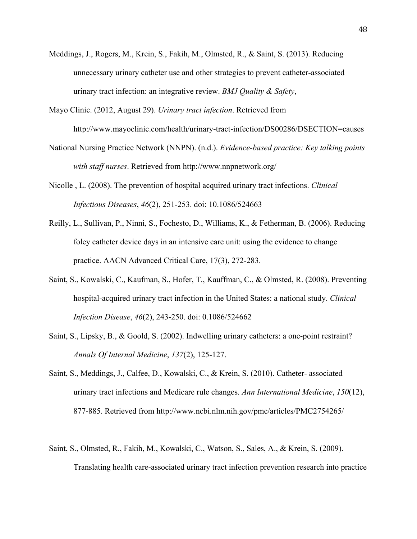- Meddings, J., Rogers, M., Krein, S., Fakih, M., Olmsted, R., & Saint, S. (2013). Reducing unnecessary urinary catheter use and other strategies to prevent catheter-associated urinary tract infection: an integrative review. *BMJ Quality & Safety*,
- Mayo Clinic. (2012, August 29). *Urinary tract infection*. Retrieved from http://www.mayoclinic.com/health/urinary-tract-infection/DS00286/DSECTION=causes
- National Nursing Practice Network (NNPN). (n.d.). *Evidence-based practice: Key talking points with staff nurses*. Retrieved from http://www.nnpnetwork.org/
- Nicolle , L. (2008). The prevention of hospital acquired urinary tract infections. *Clinical Infectious Diseases*, *46*(2), 251-253. doi: 10.1086/524663
- Reilly, L., Sullivan, P., Ninni, S., Fochesto, D., Williams, K., & Fetherman, B. (2006). Reducing foley catheter device days in an intensive care unit: using the evidence to change practice. AACN Advanced Critical Care, 17(3), 272-283.
- Saint, S., Kowalski, C., Kaufman, S., Hofer, T., Kauffman, C., & Olmsted, R. (2008). Preventing hospital-acquired urinary tract infection in the United States: a national study. *Clinical Infection Disease*, *46*(2), 243-250. doi: 0.1086/524662
- Saint, S., Lipsky, B., & Goold, S. (2002). Indwelling urinary catheters: a one-point restraint? *Annals Of Internal Medicine*, *137*(2), 125-127.
- Saint, S., Meddings, J., Calfee, D., Kowalski, C., & Krein, S. (2010). Catheter- associated urinary tract infections and Medicare rule changes. *Ann International Medicine*, *150*(12), 877-885. Retrieved from http://www.ncbi.nlm.nih.gov/pmc/articles/PMC2754265/
- Saint, S., Olmsted, R., Fakih, M., Kowalski, C., Watson, S., Sales, A., & Krein, S. (2009). Translating health care-associated urinary tract infection prevention research into practice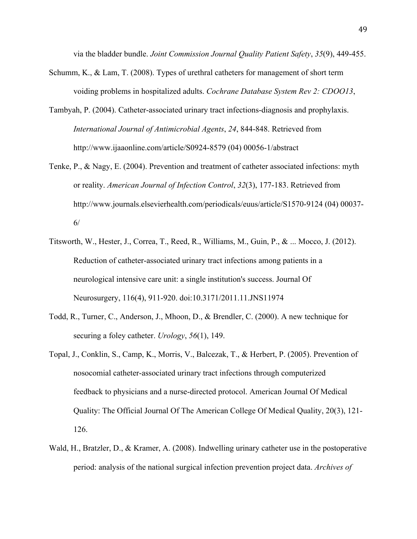via the bladder bundle. *Joint Commission Journal Quality Patient Safety*, *35*(9), 449-455.

- Schumm, K., & Lam, T. (2008). Types of urethral catheters for management of short term voiding problems in hospitalized adults. *Cochrane Database System Rev 2: CDOO13*,
- Tambyah, P. (2004). Catheter-associated urinary tract infections-diagnosis and prophylaxis. *International Journal of Antimicrobial Agents*, *24*, 844-848. Retrieved from http://www.ijaaonline.com/article/S0924-8579 (04) 00056-1/abstract
- Tenke, P., & Nagy, E. (2004). Prevention and treatment of catheter associated infections: myth or reality. *American Journal of Infection Control*, *32*(3), 177-183. Retrieved from http://www.journals.elsevierhealth.com/periodicals/euus/article/S1570-9124 (04) 00037- 6/
- Titsworth, W., Hester, J., Correa, T., Reed, R., Williams, M., Guin, P., & ... Mocco, J. (2012). Reduction of catheter-associated urinary tract infections among patients in a neurological intensive care unit: a single institution's success. Journal Of Neurosurgery, 116(4), 911-920. doi:10.3171/2011.11.JNS11974
- Todd, R., Turner, C., Anderson, J., Mhoon, D., & Brendler, C. (2000). A new technique for securing a foley catheter. *Urology*, *56*(1), 149.
- Topal, J., Conklin, S., Camp, K., Morris, V., Balcezak, T., & Herbert, P. (2005). Prevention of nosocomial catheter-associated urinary tract infections through computerized feedback to physicians and a nurse-directed protocol. American Journal Of Medical Quality: The Official Journal Of The American College Of Medical Quality, 20(3), 121- 126.
- Wald, H., Bratzler, D., & Kramer, A. (2008). Indwelling urinary catheter use in the postoperative period: analysis of the national surgical infection prevention project data. *Archives of*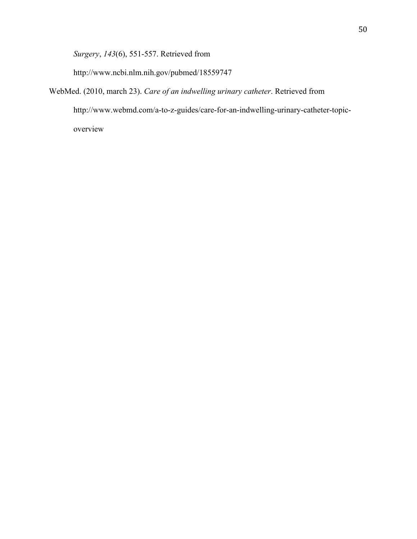*Surgery*, *143*(6), 551-557. Retrieved from

http://www.ncbi.nlm.nih.gov/pubmed/18559747

WebMed. (2010, march 23). *Care of an indwelling urinary catheter*. Retrieved from http://www.webmd.com/a-to-z-guides/care-for-an-indwelling-urinary-catheter-topicoverview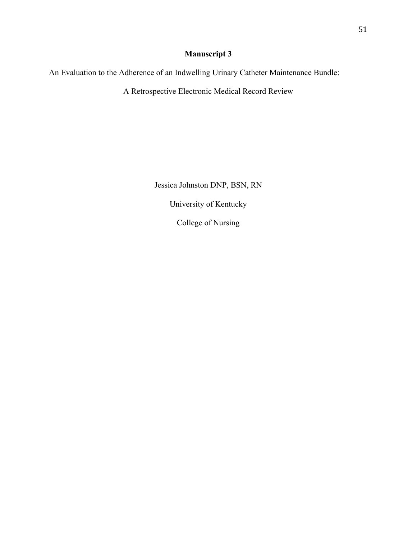# **Manuscript 3**

An Evaluation to the Adherence of an Indwelling Urinary Catheter Maintenance Bundle:

A Retrospective Electronic Medical Record Review

Jessica Johnston DNP, BSN, RN University of Kentucky College of Nursing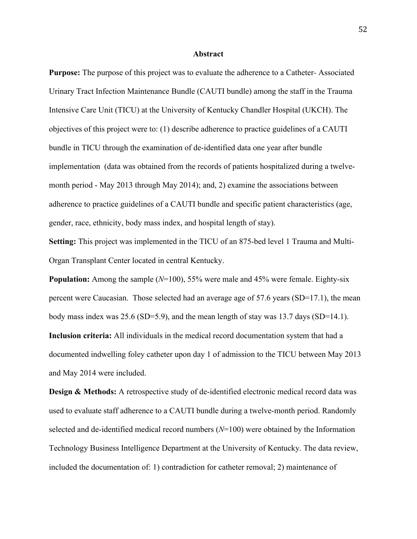### **Abstract**

**Purpose:** The purpose of this project was to evaluate the adherence to a Catheter*-* Associated Urinary Tract Infection Maintenance Bundle (CAUTI bundle) among the staff in the Trauma Intensive Care Unit (TICU) at the University of Kentucky Chandler Hospital (UKCH). The objectives of this project were to: (1) describe adherence to practice guidelines of a CAUTI bundle in TICU through the examination of de-identified data one year after bundle implementation (data was obtained from the records of patients hospitalized during a twelvemonth period - May 2013 through May 2014); and, 2) examine the associations between adherence to practice guidelines of a CAUTI bundle and specific patient characteristics (age, gender, race, ethnicity, body mass index, and hospital length of stay).

**Setting:** This project was implemented in the TICU of an 875-bed level 1 Trauma and Multi-Organ Transplant Center located in central Kentucky.

**Population:** Among the sample (*N*=100), 55% were male and 45% were female. Eighty-six percent were Caucasian. Those selected had an average age of 57.6 years (SD=17.1), the mean body mass index was 25.6 (SD=5.9), and the mean length of stay was 13.7 days (SD=14.1). **Inclusion criteria:** All individuals in the medical record documentation system that had a documented indwelling foley catheter upon day 1 of admission to the TICU between May 2013 and May 2014 were included.

**Design & Methods:** A retrospective study of de-identified electronic medical record data was used to evaluate staff adherence to a CAUTI bundle during a twelve-month period. Randomly selected and de-identified medical record numbers (*N*=100) were obtained by the Information Technology Business Intelligence Department at the University of Kentucky. The data review, included the documentation of: 1) contradiction for catheter removal; 2) maintenance of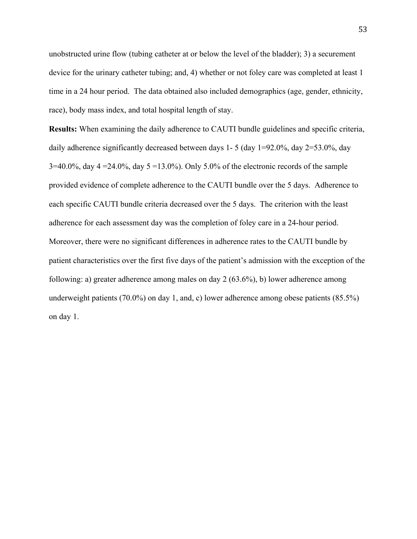unobstructed urine flow (tubing catheter at or below the level of the bladder); 3) a securement device for the urinary catheter tubing; and, 4) whether or not foley care was completed at least 1 time in a 24 hour period. The data obtained also included demographics (age, gender, ethnicity, race), body mass index, and total hospital length of stay.

**Results:** When examining the daily adherence to CAUTI bundle guidelines and specific criteria, daily adherence significantly decreased between days 1- 5 (day  $1=92.0\%$ , day  $2=53.0\%$ , day 3=40.0%, day 4 = 24.0%, day 5 = 13.0%). Only 5.0% of the electronic records of the sample provided evidence of complete adherence to the CAUTI bundle over the 5 days. Adherence to each specific CAUTI bundle criteria decreased over the 5 days. The criterion with the least adherence for each assessment day was the completion of foley care in a 24-hour period. Moreover, there were no significant differences in adherence rates to the CAUTI bundle by patient characteristics over the first five days of the patient's admission with the exception of the following: a) greater adherence among males on day 2 (63.6%), b) lower adherence among underweight patients (70.0%) on day 1, and, c) lower adherence among obese patients (85.5%) on day 1.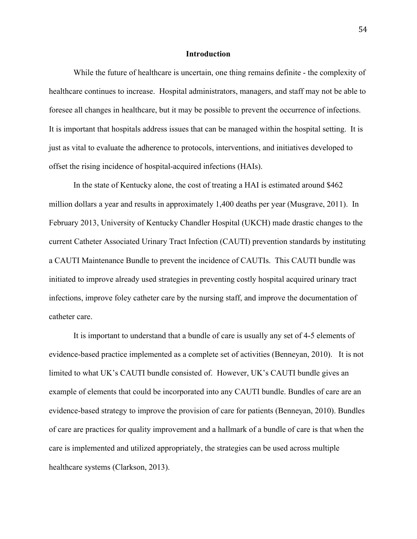### **Introduction**

While the future of healthcare is uncertain, one thing remains definite - the complexity of healthcare continues to increase. Hospital administrators, managers, and staff may not be able to foresee all changes in healthcare, but it may be possible to prevent the occurrence of infections. It is important that hospitals address issues that can be managed within the hospital setting. It is just as vital to evaluate the adherence to protocols, interventions, and initiatives developed to offset the rising incidence of hospital-acquired infections (HAIs).

In the state of Kentucky alone, the cost of treating a HAI is estimated around \$462 million dollars a year and results in approximately 1,400 deaths per year (Musgrave, 2011). In February 2013, University of Kentucky Chandler Hospital (UKCH) made drastic changes to the current Catheter Associated Urinary Tract Infection (CAUTI) prevention standards by instituting a CAUTI Maintenance Bundle to prevent the incidence of CAUTIs. This CAUTI bundle was initiated to improve already used strategies in preventing costly hospital acquired urinary tract infections, improve foley catheter care by the nursing staff, and improve the documentation of catheter care.

It is important to understand that a bundle of care is usually any set of 4-5 elements of evidence-based practice implemented as a complete set of activities (Benneyan, 2010). It is not limited to what UK's CAUTI bundle consisted of. However, UK's CAUTI bundle gives an example of elements that could be incorporated into any CAUTI bundle. Bundles of care are an evidence-based strategy to improve the provision of care for patients (Benneyan, 2010). Bundles of care are practices for quality improvement and a hallmark of a bundle of care is that when the care is implemented and utilized appropriately, the strategies can be used across multiple healthcare systems (Clarkson, 2013).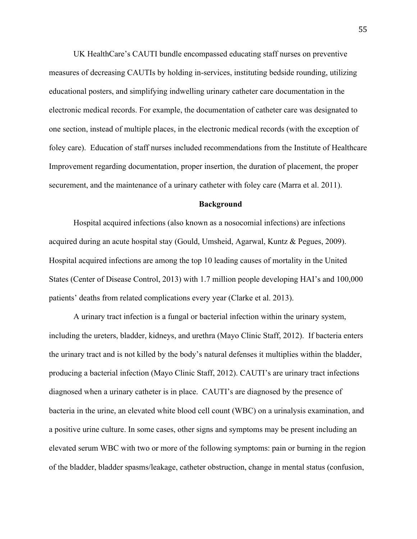UK HealthCare's CAUTI bundle encompassed educating staff nurses on preventive measures of decreasing CAUTIs by holding in-services, instituting bedside rounding, utilizing educational posters, and simplifying indwelling urinary catheter care documentation in the electronic medical records. For example, the documentation of catheter care was designated to one section, instead of multiple places, in the electronic medical records (with the exception of foley care). Education of staff nurses included recommendations from the Institute of Healthcare Improvement regarding documentation, proper insertion, the duration of placement, the proper securement, and the maintenance of a urinary catheter with foley care (Marra et al. 2011).

# **Background**

Hospital acquired infections (also known as a nosocomial infections) are infections acquired during an acute hospital stay (Gould, Umsheid, Agarwal, Kuntz & Pegues, 2009). Hospital acquired infections are among the top 10 leading causes of mortality in the United States (Center of Disease Control, 2013) with 1.7 million people developing HAI's and 100,000 patients' deaths from related complications every year (Clarke et al. 2013).

A urinary tract infection is a fungal or bacterial infection within the urinary system, including the ureters, bladder, kidneys, and urethra (Mayo Clinic Staff, 2012). If bacteria enters the urinary tract and is not killed by the body's natural defenses it multiplies within the bladder, producing a bacterial infection (Mayo Clinic Staff, 2012). CAUTI's are urinary tract infections diagnosed when a urinary catheter is in place. CAUTI's are diagnosed by the presence of bacteria in the urine, an elevated white blood cell count (WBC) on a urinalysis examination, and a positive urine culture. In some cases, other signs and symptoms may be present including an elevated serum WBC with two or more of the following symptoms: pain or burning in the region of the bladder, bladder spasms/leakage, catheter obstruction, change in mental status (confusion,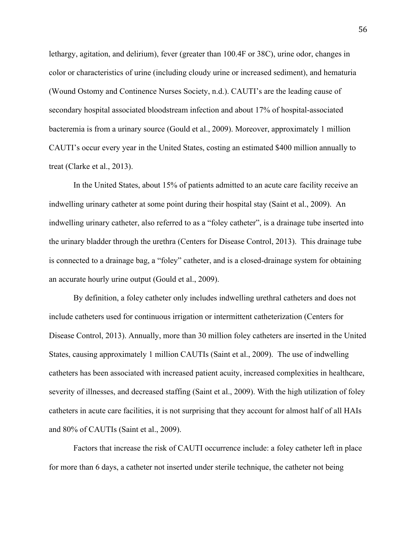lethargy, agitation, and delirium), fever (greater than 100.4F or 38C), urine odor, changes in color or characteristics of urine (including cloudy urine or increased sediment), and hematuria (Wound Ostomy and Continence Nurses Society, n.d.). CAUTI's are the leading cause of secondary hospital associated bloodstream infection and about 17% of hospital-associated bacteremia is from a urinary source (Gould et al., 2009). Moreover, approximately 1 million CAUTI's occur every year in the United States, costing an estimated \$400 million annually to treat (Clarke et al., 2013).

In the United States, about 15% of patients admitted to an acute care facility receive an indwelling urinary catheter at some point during their hospital stay (Saint et al., 2009). An indwelling urinary catheter, also referred to as a "foley catheter", is a drainage tube inserted into the urinary bladder through the urethra (Centers for Disease Control, 2013). This drainage tube is connected to a drainage bag, a "foley" catheter, and is a closed-drainage system for obtaining an accurate hourly urine output (Gould et al., 2009).

By definition, a foley catheter only includes indwelling urethral catheters and does not include catheters used for continuous irrigation or intermittent catheterization (Centers for Disease Control, 2013). Annually, more than 30 million foley catheters are inserted in the United States, causing approximately 1 million CAUTIs (Saint et al., 2009). The use of indwelling catheters has been associated with increased patient acuity, increased complexities in healthcare, severity of illnesses, and decreased staffing (Saint et al., 2009). With the high utilization of foley catheters in acute care facilities, it is not surprising that they account for almost half of all HAIs and 80% of CAUTIs (Saint et al., 2009).

Factors that increase the risk of CAUTI occurrence include: a foley catheter left in place for more than 6 days, a catheter not inserted under sterile technique, the catheter not being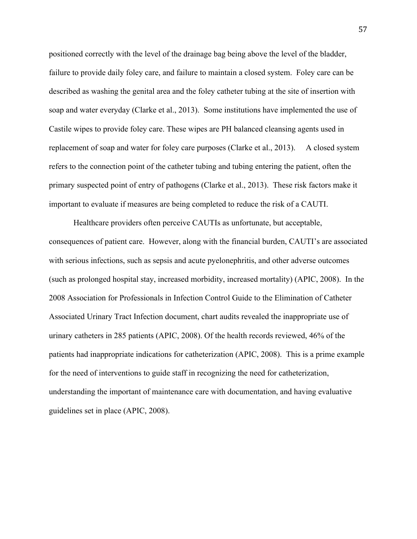positioned correctly with the level of the drainage bag being above the level of the bladder, failure to provide daily foley care, and failure to maintain a closed system. Foley care can be described as washing the genital area and the foley catheter tubing at the site of insertion with soap and water everyday (Clarke et al., 2013). Some institutions have implemented the use of Castile wipes to provide foley care. These wipes are PH balanced cleansing agents used in replacement of soap and water for foley care purposes (Clarke et al., 2013). A closed system refers to the connection point of the catheter tubing and tubing entering the patient, often the primary suspected point of entry of pathogens (Clarke et al., 2013). These risk factors make it important to evaluate if measures are being completed to reduce the risk of a CAUTI.

Healthcare providers often perceive CAUTIs as unfortunate, but acceptable, consequences of patient care. However, along with the financial burden, CAUTI's are associated with serious infections, such as sepsis and acute pyelonephritis, and other adverse outcomes (such as prolonged hospital stay, increased morbidity, increased mortality) (APIC, 2008). In the 2008 Association for Professionals in Infection Control Guide to the Elimination of Catheter Associated Urinary Tract Infection document, chart audits revealed the inappropriate use of urinary catheters in 285 patients (APIC, 2008). Of the health records reviewed, 46% of the patients had inappropriate indications for catheterization (APIC, 2008). This is a prime example for the need of interventions to guide staff in recognizing the need for catheterization, understanding the important of maintenance care with documentation, and having evaluative guidelines set in place (APIC, 2008).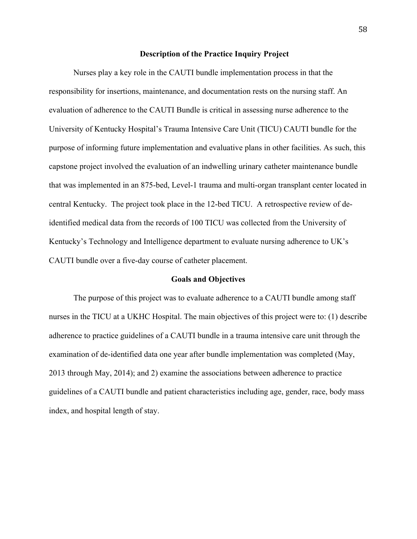# **Description of the Practice Inquiry Project**

Nurses play a key role in the CAUTI bundle implementation process in that the responsibility for insertions, maintenance, and documentation rests on the nursing staff. An evaluation of adherence to the CAUTI Bundle is critical in assessing nurse adherence to the University of Kentucky Hospital's Trauma Intensive Care Unit (TICU) CAUTI bundle for the purpose of informing future implementation and evaluative plans in other facilities. As such, this capstone project involved the evaluation of an indwelling urinary catheter maintenance bundle that was implemented in an 875-bed, Level-1 trauma and multi-organ transplant center located in central Kentucky. The project took place in the 12-bed TICU. A retrospective review of deidentified medical data from the records of 100 TICU was collected from the University of Kentucky's Technology and Intelligence department to evaluate nursing adherence to UK's CAUTI bundle over a five-day course of catheter placement.

### **Goals and Objectives**

The purpose of this project was to evaluate adherence to a CAUTI bundle among staff nurses in the TICU at a UKHC Hospital. The main objectives of this project were to: (1) describe adherence to practice guidelines of a CAUTI bundle in a trauma intensive care unit through the examination of de-identified data one year after bundle implementation was completed (May, 2013 through May, 2014); and 2) examine the associations between adherence to practice guidelines of a CAUTI bundle and patient characteristics including age, gender, race, body mass index, and hospital length of stay.

58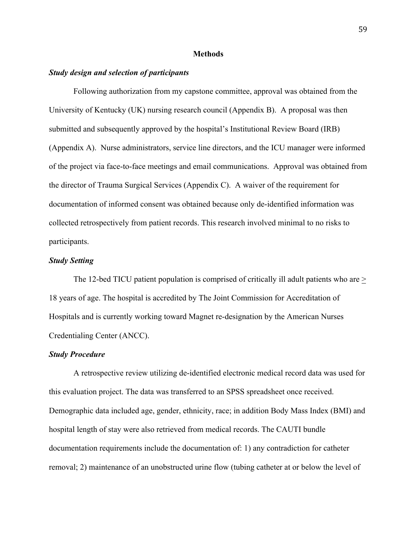### **Methods**

# *Study design and selection of participants*

Following authorization from my capstone committee, approval was obtained from the University of Kentucky (UK) nursing research council (Appendix B). A proposal was then submitted and subsequently approved by the hospital's Institutional Review Board (IRB) (Appendix A). Nurse administrators, service line directors, and the ICU manager were informed of the project via face-to-face meetings and email communications. Approval was obtained from the director of Trauma Surgical Services (Appendix C). A waiver of the requirement for documentation of informed consent was obtained because only de-identified information was collected retrospectively from patient records. This research involved minimal to no risks to participants.

# *Study Setting*

The 12-bed TICU patient population is comprised of critically ill adult patients who are  $>$ 18 years of age. The hospital is accredited by The Joint Commission for Accreditation of Hospitals and is currently working toward Magnet re-designation by the American Nurses Credentialing Center (ANCC).

### *Study Procedure*

A retrospective review utilizing de-identified electronic medical record data was used for this evaluation project. The data was transferred to an SPSS spreadsheet once received. Demographic data included age, gender, ethnicity, race; in addition Body Mass Index (BMI) and hospital length of stay were also retrieved from medical records. The CAUTI bundle documentation requirements include the documentation of: 1) any contradiction for catheter removal; 2) maintenance of an unobstructed urine flow (tubing catheter at or below the level of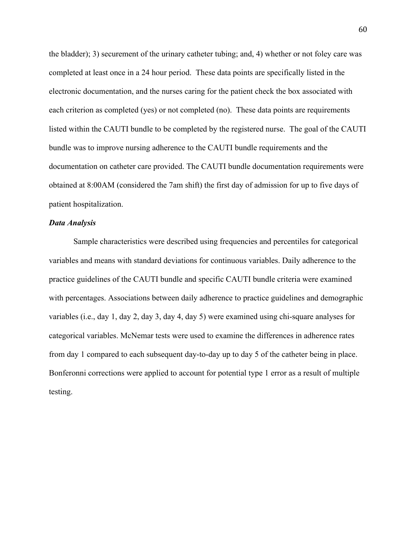the bladder); 3) securement of the urinary catheter tubing; and, 4) whether or not foley care was completed at least once in a 24 hour period. These data points are specifically listed in the electronic documentation, and the nurses caring for the patient check the box associated with each criterion as completed (yes) or not completed (no). These data points are requirements listed within the CAUTI bundle to be completed by the registered nurse. The goal of the CAUTI bundle was to improve nursing adherence to the CAUTI bundle requirements and the documentation on catheter care provided. The CAUTI bundle documentation requirements were obtained at 8:00AM (considered the 7am shift) the first day of admission for up to five days of patient hospitalization.

# *Data Analysis*

Sample characteristics were described using frequencies and percentiles for categorical variables and means with standard deviations for continuous variables. Daily adherence to the practice guidelines of the CAUTI bundle and specific CAUTI bundle criteria were examined with percentages. Associations between daily adherence to practice guidelines and demographic variables (i.e., day 1, day 2, day 3, day 4, day 5) were examined using chi-square analyses for categorical variables. McNemar tests were used to examine the differences in adherence rates from day 1 compared to each subsequent day-to-day up to day 5 of the catheter being in place. Bonferonni corrections were applied to account for potential type 1 error as a result of multiple testing.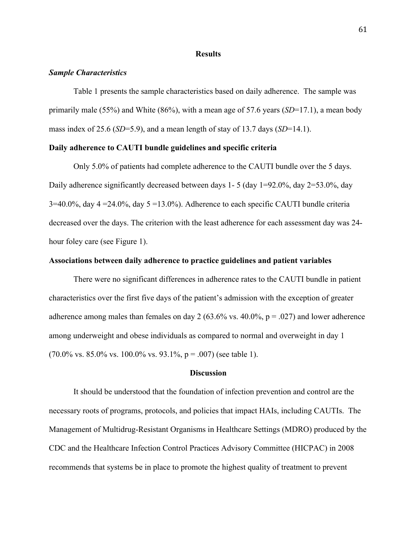### **Results**

# *Sample Characteristics*

Table 1 presents the sample characteristics based on daily adherence. The sample was primarily male (55%) and White (86%), with a mean age of 57.6 years (*SD*=17.1), a mean body mass index of 25.6 (*SD*=5.9), and a mean length of stay of 13.7 days (*SD*=14.1).

# **Daily adherence to CAUTI bundle guidelines and specific criteria**

Only 5.0% of patients had complete adherence to the CAUTI bundle over the 5 days. Daily adherence significantly decreased between days 1- 5 (day 1=92.0%, day 2=53.0%, day  $3=40.0\%$ , day  $4=24.0\%$ , day  $5=13.0\%$ ). Adherence to each specific CAUTI bundle criteria decreased over the days. The criterion with the least adherence for each assessment day was 24 hour foley care (see Figure 1).

# **Associations between daily adherence to practice guidelines and patient variables**

There were no significant differences in adherence rates to the CAUTI bundle in patient characteristics over the first five days of the patient's admission with the exception of greater adherence among males than females on day 2 (63.6% vs. 40.0%,  $p = .027$ ) and lower adherence among underweight and obese individuals as compared to normal and overweight in day 1  $(70.0\% \text{ vs. } 85.0\% \text{ vs. } 100.0\% \text{ vs. } 93.1\%, p = .007)$  (see table 1).

### **Discussion**

It should be understood that the foundation of infection prevention and control are the necessary roots of programs, protocols, and policies that impact HAIs, including CAUTIs. The Management of Multidrug-Resistant Organisms in Healthcare Settings (MDRO) produced by the CDC and the Healthcare Infection Control Practices Advisory Committee (HICPAC) in 2008 recommends that systems be in place to promote the highest quality of treatment to prevent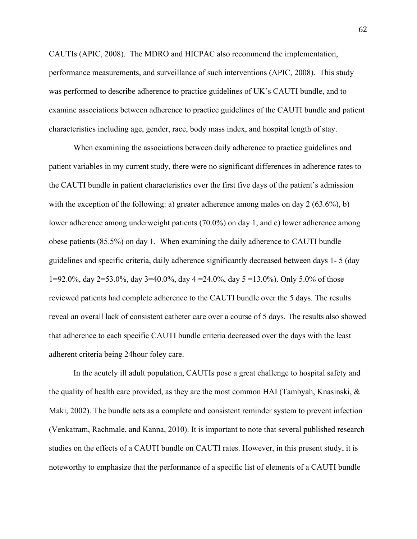CAUTIs (APIC, 2008). The MDRO and HICPAC also recommend the implementation, performance measurements, and surveillance of such interventions (APIC, 2008). This study was performed to describe adherence to practice guidelines of UK's CAUTI bundle, and to examine associations between adherence to practice guidelines of the CAUTI bundle and patient characteristics including age, gender, race, body mass index, and hospital length of stay.

When examining the associations between daily adherence to practice guidelines and patient variables in my current study, there were no significant differences in adherence rates to the CAUTI bundle in patient characteristics over the first five days of the patient's admission with the exception of the following: a) greater adherence among males on day 2 (63.6%), b) lower adherence among underweight patients (70.0%) on day 1, and c) lower adherence among obese patients (85.5%) on day 1. When examining the daily adherence to CAUTI bundle guidelines and specific criteria, daily adherence significantly decreased between days 1- 5 (day 1=92.0%, day 2=53.0%, day 3=40.0%, day 4 =24.0%, day 5 =13.0%). Only 5.0% of those reviewed patients had complete adherence to the CAUTI bundle over the 5 days. The results reveal an overall lack of consistent catheter care over a course of 5 days. The results also showed that adherence to each specific CAUTI bundle criteria decreased over the days with the least adherent criteria being 24hour foley care.

In the acutely ill adult population, CAUTIs pose a great challenge to hospital safety and the quality of health care provided, as they are the most common HAI (Tambyah, Knasinski, & Maki, 2002). The bundle acts as a complete and consistent reminder system to prevent infection (Venkatram, Rachmale, and Kanna, 2010). It is important to note that several published research studies on the effects of a CAUTI bundle on CAUTI rates. However, in this present study, it is noteworthy to emphasize that the performance of a specific list of elements of a CAUTI bundle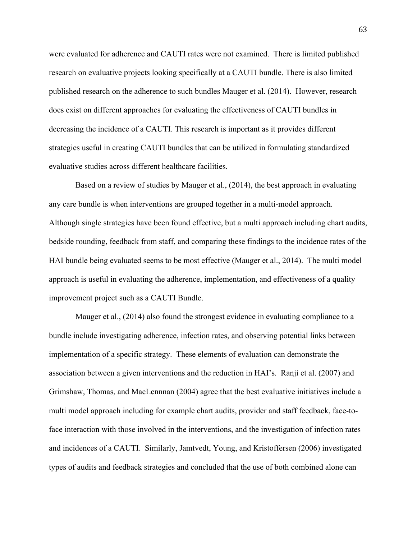were evaluated for adherence and CAUTI rates were not examined. There is limited published research on evaluative projects looking specifically at a CAUTI bundle. There is also limited published research on the adherence to such bundles Mauger et al. (2014). However, research does exist on different approaches for evaluating the effectiveness of CAUTI bundles in decreasing the incidence of a CAUTI. This research is important as it provides different strategies useful in creating CAUTI bundles that can be utilized in formulating standardized evaluative studies across different healthcare facilities.

Based on a review of studies by Mauger et al., (2014), the best approach in evaluating any care bundle is when interventions are grouped together in a multi-model approach. Although single strategies have been found effective, but a multi approach including chart audits, bedside rounding, feedback from staff, and comparing these findings to the incidence rates of the HAI bundle being evaluated seems to be most effective (Mauger et al., 2014). The multi model approach is useful in evaluating the adherence, implementation, and effectiveness of a quality improvement project such as a CAUTI Bundle.

Mauger et al., (2014) also found the strongest evidence in evaluating compliance to a bundle include investigating adherence, infection rates, and observing potential links between implementation of a specific strategy. These elements of evaluation can demonstrate the association between a given interventions and the reduction in HAI's. Ranji et al. (2007) and Grimshaw, Thomas, and MacLennnan (2004) agree that the best evaluative initiatives include a multi model approach including for example chart audits, provider and staff feedback, face-toface interaction with those involved in the interventions, and the investigation of infection rates and incidences of a CAUTI. Similarly, Jamtvedt, Young, and Kristoffersen (2006) investigated types of audits and feedback strategies and concluded that the use of both combined alone can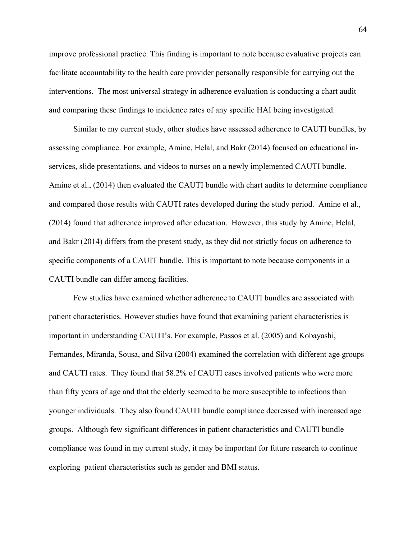improve professional practice. This finding is important to note because evaluative projects can facilitate accountability to the health care provider personally responsible for carrying out the interventions. The most universal strategy in adherence evaluation is conducting a chart audit and comparing these findings to incidence rates of any specific HAI being investigated.

Similar to my current study, other studies have assessed adherence to CAUTI bundles, by assessing compliance. For example, Amine, Helal, and Bakr (2014) focused on educational inservices, slide presentations, and videos to nurses on a newly implemented CAUTI bundle. Amine et al., (2014) then evaluated the CAUTI bundle with chart audits to determine compliance and compared those results with CAUTI rates developed during the study period. Amine et al., (2014) found that adherence improved after education. However, this study by Amine, Helal, and Bakr (2014) differs from the present study, as they did not strictly focus on adherence to specific components of a CAUIT bundle. This is important to note because components in a CAUTI bundle can differ among facilities.

Few studies have examined whether adherence to CAUTI bundles are associated with patient characteristics. However studies have found that examining patient characteristics is important in understanding CAUTI's. For example, Passos et al. (2005) and Kobayashi, Fernandes, Miranda, Sousa, and Silva (2004) examined the correlation with different age groups and CAUTI rates. They found that 58.2% of CAUTI cases involved patients who were more than fifty years of age and that the elderly seemed to be more susceptible to infections than younger individuals. They also found CAUTI bundle compliance decreased with increased age groups. Although few significant differences in patient characteristics and CAUTI bundle compliance was found in my current study, it may be important for future research to continue exploring patient characteristics such as gender and BMI status.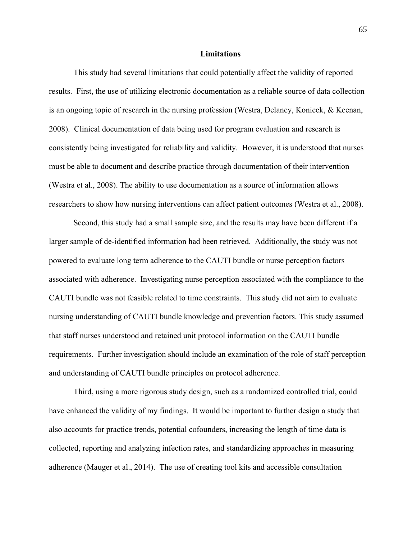### **Limitations**

This study had several limitations that could potentially affect the validity of reported results. First, the use of utilizing electronic documentation as a reliable source of data collection is an ongoing topic of research in the nursing profession (Westra, Delaney, Konicek, & Keenan, 2008). Clinical documentation of data being used for program evaluation and research is consistently being investigated for reliability and validity. However, it is understood that nurses must be able to document and describe practice through documentation of their intervention (Westra et al., 2008). The ability to use documentation as a source of information allows researchers to show how nursing interventions can affect patient outcomes (Westra et al., 2008).

Second, this study had a small sample size, and the results may have been different if a larger sample of de-identified information had been retrieved. Additionally, the study was not powered to evaluate long term adherence to the CAUTI bundle or nurse perception factors associated with adherence. Investigating nurse perception associated with the compliance to the CAUTI bundle was not feasible related to time constraints. This study did not aim to evaluate nursing understanding of CAUTI bundle knowledge and prevention factors. This study assumed that staff nurses understood and retained unit protocol information on the CAUTI bundle requirements. Further investigation should include an examination of the role of staff perception and understanding of CAUTI bundle principles on protocol adherence.

Third, using a more rigorous study design, such as a randomized controlled trial, could have enhanced the validity of my findings. It would be important to further design a study that also accounts for practice trends, potential cofounders, increasing the length of time data is collected, reporting and analyzing infection rates, and standardizing approaches in measuring adherence (Mauger et al., 2014). The use of creating tool kits and accessible consultation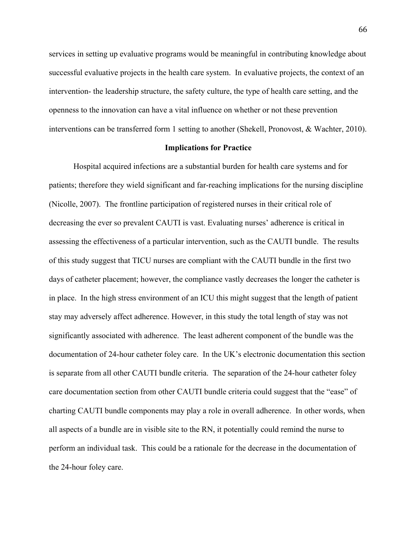services in setting up evaluative programs would be meaningful in contributing knowledge about successful evaluative projects in the health care system. In evaluative projects, the context of an intervention- the leadership structure, the safety culture, the type of health care setting, and the openness to the innovation can have a vital influence on whether or not these prevention interventions can be transferred form 1 setting to another (Shekell, Pronovost, & Wachter, 2010).

# **Implications for Practice**

Hospital acquired infections are a substantial burden for health care systems and for patients; therefore they wield significant and far-reaching implications for the nursing discipline (Nicolle, 2007). The frontline participation of registered nurses in their critical role of decreasing the ever so prevalent CAUTI is vast. Evaluating nurses' adherence is critical in assessing the effectiveness of a particular intervention, such as the CAUTI bundle. The results of this study suggest that TICU nurses are compliant with the CAUTI bundle in the first two days of catheter placement; however, the compliance vastly decreases the longer the catheter is in place. In the high stress environment of an ICU this might suggest that the length of patient stay may adversely affect adherence. However, in this study the total length of stay was not significantly associated with adherence. The least adherent component of the bundle was the documentation of 24-hour catheter foley care. In the UK's electronic documentation this section is separate from all other CAUTI bundle criteria. The separation of the 24-hour catheter foley care documentation section from other CAUTI bundle criteria could suggest that the "ease" of charting CAUTI bundle components may play a role in overall adherence. In other words, when all aspects of a bundle are in visible site to the RN, it potentially could remind the nurse to perform an individual task. This could be a rationale for the decrease in the documentation of the 24-hour foley care.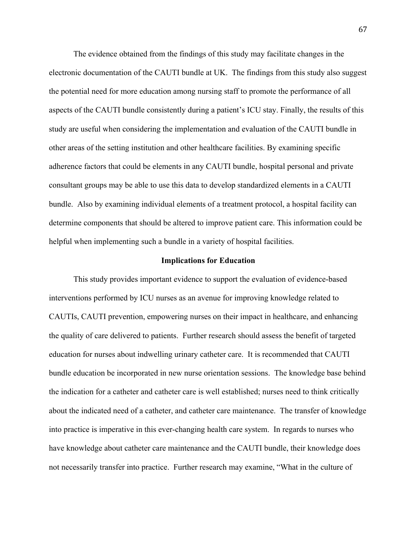The evidence obtained from the findings of this study may facilitate changes in the electronic documentation of the CAUTI bundle at UK. The findings from this study also suggest the potential need for more education among nursing staff to promote the performance of all aspects of the CAUTI bundle consistently during a patient's ICU stay. Finally, the results of this study are useful when considering the implementation and evaluation of the CAUTI bundle in other areas of the setting institution and other healthcare facilities. By examining specific adherence factors that could be elements in any CAUTI bundle, hospital personal and private consultant groups may be able to use this data to develop standardized elements in a CAUTI bundle. Also by examining individual elements of a treatment protocol, a hospital facility can determine components that should be altered to improve patient care. This information could be helpful when implementing such a bundle in a variety of hospital facilities.

# **Implications for Education**

This study provides important evidence to support the evaluation of evidence-based interventions performed by ICU nurses as an avenue for improving knowledge related to CAUTIs, CAUTI prevention, empowering nurses on their impact in healthcare, and enhancing the quality of care delivered to patients. Further research should assess the benefit of targeted education for nurses about indwelling urinary catheter care. It is recommended that CAUTI bundle education be incorporated in new nurse orientation sessions. The knowledge base behind the indication for a catheter and catheter care is well established; nurses need to think critically about the indicated need of a catheter, and catheter care maintenance. The transfer of knowledge into practice is imperative in this ever-changing health care system. In regards to nurses who have knowledge about catheter care maintenance and the CAUTI bundle, their knowledge does not necessarily transfer into practice. Further research may examine, "What in the culture of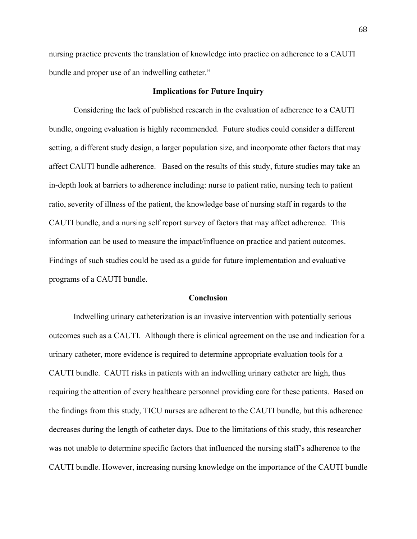nursing practice prevents the translation of knowledge into practice on adherence to a CAUTI bundle and proper use of an indwelling catheter."

# **Implications for Future Inquiry**

Considering the lack of published research in the evaluation of adherence to a CAUTI bundle, ongoing evaluation is highly recommended. Future studies could consider a different setting, a different study design, a larger population size, and incorporate other factors that may affect CAUTI bundle adherence. Based on the results of this study, future studies may take an in-depth look at barriers to adherence including: nurse to patient ratio, nursing tech to patient ratio, severity of illness of the patient, the knowledge base of nursing staff in regards to the CAUTI bundle, and a nursing self report survey of factors that may affect adherence. This information can be used to measure the impact/influence on practice and patient outcomes. Findings of such studies could be used as a guide for future implementation and evaluative programs of a CAUTI bundle.

# **Conclusion**

Indwelling urinary catheterization is an invasive intervention with potentially serious outcomes such as a CAUTI. Although there is clinical agreement on the use and indication for a urinary catheter, more evidence is required to determine appropriate evaluation tools for a CAUTI bundle. CAUTI risks in patients with an indwelling urinary catheter are high, thus requiring the attention of every healthcare personnel providing care for these patients. Based on the findings from this study, TICU nurses are adherent to the CAUTI bundle, but this adherence decreases during the length of catheter days. Due to the limitations of this study, this researcher was not unable to determine specific factors that influenced the nursing staff's adherence to the CAUTI bundle. However, increasing nursing knowledge on the importance of the CAUTI bundle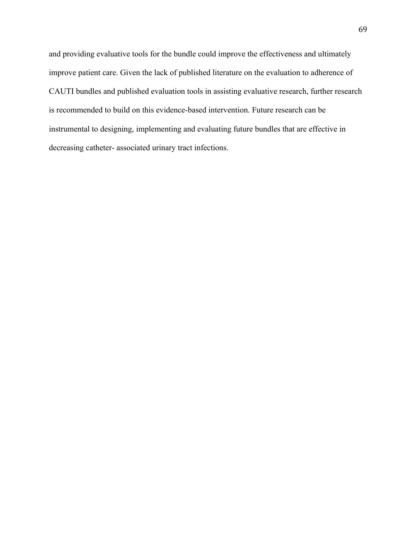and providing evaluative tools for the bundle could improve the effectiveness and ultimately improve patient care. Given the lack of published literature on the evaluation to adherence of CAUTI bundles and published evaluation tools in assisting evaluative research, further research is recommended to build on this evidence-based intervention. Future research can be instrumental to designing, implementing and evaluating future bundles that are effective in decreasing catheter- associated urinary tract infections.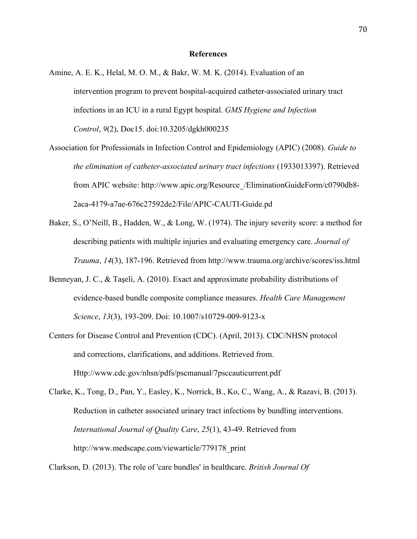### **References**

- Amine, A. E. K., Helal, M. O. M., & Bakr, W. M. K. (2014). Evaluation of an intervention program to prevent hospital-acquired catheter-associated urinary tract infections in an ICU in a rural Egypt hospital. *GMS Hygiene and Infection Control*, *9*(2), Doc15. doi:10.3205/dgkh000235
- Association for Professionals in Infection Control and Epidemiology (APIC) (2008). *Guide to the elimination of catheter-associated urinary tract infections* (1933013397). Retrieved from APIC website: http://www.apic.org/Resource\_/EliminationGuideForm/c0790db8- 2aca-4179-a7ae-676c27592de2/File/APIC-CAUTI-Guide.pd
- Baker, S., O'Neill, B., Hadden, W., & Long, W. (1974). The injury severity score: a method for describing patients with multiple injuries and evaluating emergency care. *Journal of Trauma*, *14*(3), 187-196. Retrieved from http://www.trauma.org/archive/scores/iss.html
- Benneyan, J. C., & Taşeli, A. (2010). Exact and approximate probability distributions of evidence-based bundle composite compliance measures. *Health Care Management Science*, *13*(3), 193-209. Doi: 10.1007/s10729-009-9123-x
- Centers for Disease Control and Prevention (CDC). (April, 2013). CDC/NHSN protocol and corrections, clarifications, and additions. Retrieved from. Http://www.cdc.gov/nhsn/pdfs/pscmanual/7psccauticurrent.pdf
- Clarke, K., Tong, D., Pan, Y., Easley, K., Norrick, B., Ko, C., Wang, A., & Razavi, B. (2013). Reduction in catheter associated urinary tract infections by bundling interventions. *International Journal of Quality Care*, *25*(1), 43-49. Retrieved from http://www.medscape.com/viewarticle/779178\_print

Clarkson, D. (2013). The role of 'care bundles' in healthcare. *British Journal Of*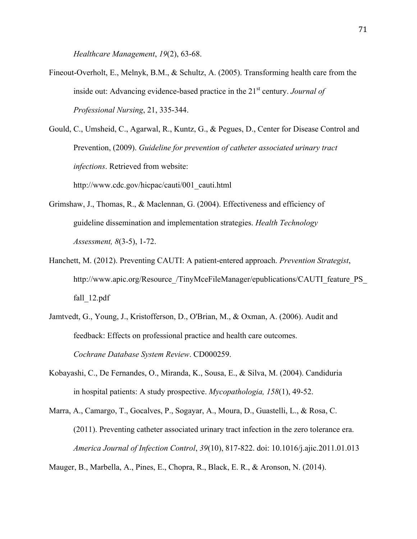*Healthcare Management*, *19*(2), 63-68.

Fineout-Overholt, E., Melnyk, B.M., & Schultz, A. (2005). Transforming health care from the inside out: Advancing evidence-based practice in the 21<sup>st</sup> century. *Journal of Professional Nursing*, 21, 335-344.

Gould, C., Umsheid, C., Agarwal, R., Kuntz, G., & Pegues, D., Center for Disease Control and Prevention, (2009). *Guideline for prevention of catheter associated urinary tract infections*. Retrieved from website:

http://www.cdc.gov/hicpac/cauti/001\_cauti.html

- Grimshaw, J., Thomas, R., & Maclennan, G. (2004). Effectiveness and efficiency of guideline dissemination and implementation strategies. *Health Technology Assessment, 8*(3-5), 1-72.
- Hanchett, M. (2012). Preventing CAUTI: A patient-entered approach. *Prevention Strategist*, http://www.apic.org/Resource\_/TinyMceFileManager/epublications/CAUTI\_feature\_PS fall\_12.pdf
- Jamtvedt, G., Young, J., Kristofferson, D., O'Brian, M., & Oxman, A. (2006). Audit and feedback: Effects on professional practice and health care outcomes. *Cochrane Database System Review*. CD000259.
- Kobayashi, C., De Fernandes, O., Miranda, K., Sousa, E., & Silva, M. (2004). Candiduria in hospital patients: A study prospective. *Mycopathologia, 158*(1), 49-52.
- Marra, A., Camargo, T., Gocalves, P., Sogayar, A., Moura, D., Guastelli, L., & Rosa, C. (2011). Preventing catheter associated urinary tract infection in the zero tolerance era. *America Journal of Infection Control*, *39*(10), 817-822. doi: 10.1016/j.ajic.2011.01.013

Mauger, B., Marbella, A., Pines, E., Chopra, R., Black, E. R., & Aronson, N. (2014).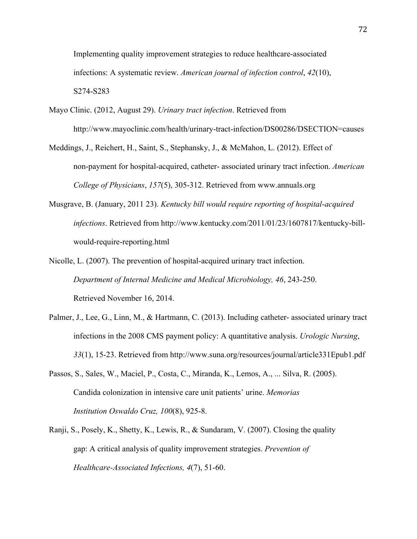Implementing quality improvement strategies to reduce healthcare-associated infections: A systematic review. *American journal of infection control*, *42*(10), S274-S283

- Mayo Clinic. (2012, August 29). *Urinary tract infection*. Retrieved from http://www.mayoclinic.com/health/urinary-tract-infection/DS00286/DSECTION=causes
- Meddings, J., Reichert, H., Saint, S., Stephansky, J., & McMahon, L. (2012). Effect of non-payment for hospital-acquired, catheter- associated urinary tract infection. *American College of Physicians*, *157*(5), 305-312. Retrieved from www.annuals.org
- Musgrave, B. (January, 2011 23). *Kentucky bill would require reporting of hospital-acquired infections*. Retrieved from http://www.kentucky.com/2011/01/23/1607817/kentucky-billwould-require-reporting.html
- Nicolle, L. (2007). The prevention of hospital-acquired urinary tract infection. *Department of Internal Medicine and Medical Microbiology, 46*, 243-250. Retrieved November 16, 2014.
- Palmer, J., Lee, G., Linn, M., & Hartmann, C. (2013). Including catheter- associated urinary tract infections in the 2008 CMS payment policy: A quantitative analysis. *Urologic Nursing*, *33*(1), 15-23. Retrieved from http://www.suna.org/resources/journal/article331Epub1.pdf
- Passos, S., Sales, W., Maciel, P., Costa, C., Miranda, K., Lemos, A., ... Silva, R. (2005). Candida colonization in intensive care unit patients' urine. *Memorias Institution Oswaldo Cruz, 100*(8), 925-8.
- Ranji, S., Posely, K., Shetty, K., Lewis, R., & Sundaram, V. (2007). Closing the quality gap: A critical analysis of quality improvement strategies. *Prevention of Healthcare-Associated Infections, 4*(7), 51-60.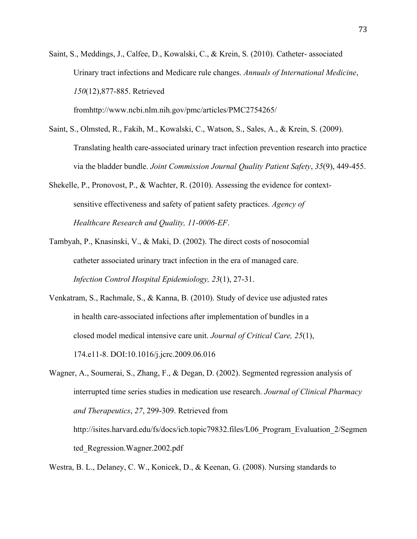Saint, S., Meddings, J., Calfee, D., Kowalski, C., & Krein, S. (2010). Catheter- associated Urinary tract infections and Medicare rule changes. *Annuals of International Medicine*, *150*(12),877-885. Retrieved

fromhttp://www.ncbi.nlm.nih.gov/pmc/articles/PMC2754265/

- Saint, S., Olmsted, R., Fakih, M., Kowalski, C., Watson, S., Sales, A., & Krein, S. (2009). Translating health care-associated urinary tract infection prevention research into practice via the bladder bundle. *Joint Commission Journal Quality Patient Safety*, *35*(9), 449-455.
- Shekelle, P., Pronovost, P., & Wachter, R. (2010). Assessing the evidence for contextsensitive effectiveness and safety of patient safety practices. *Agency of Healthcare Research and Quality, 11-0006-EF*.
- Tambyah, P., Knasinski, V., & Maki, D. (2002). The direct costs of nosocomial catheter associated urinary tract infection in the era of managed care. *Infection Control Hospital Epidemiology, 23*(1), 27-31.
- Venkatram, S., Rachmale, S., & Kanna, B. (2010). Study of device use adjusted rates in health care-associated infections after implementation of bundles in a closed model medical intensive care unit. *Journal of Critical Care, 25*(1), 174.e11-8. DOI:10.1016/j.jcrc.2009.06.016
- Wagner, A., Soumerai, S., Zhang, F., & Degan, D. (2002). Segmented regression analysis of interrupted time series studies in medication use research. *Journal of Clinical Pharmacy and Therapeutics*, *27*, 299-309. Retrieved from http://isites.harvard.edu/fs/docs/icb.topic79832.files/L06 Program Evaluation 2/Segmen ted\_Regression.Wagner.2002.pdf

Westra, B. L., Delaney, C. W., Konicek, D., & Keenan, G. (2008). Nursing standards to